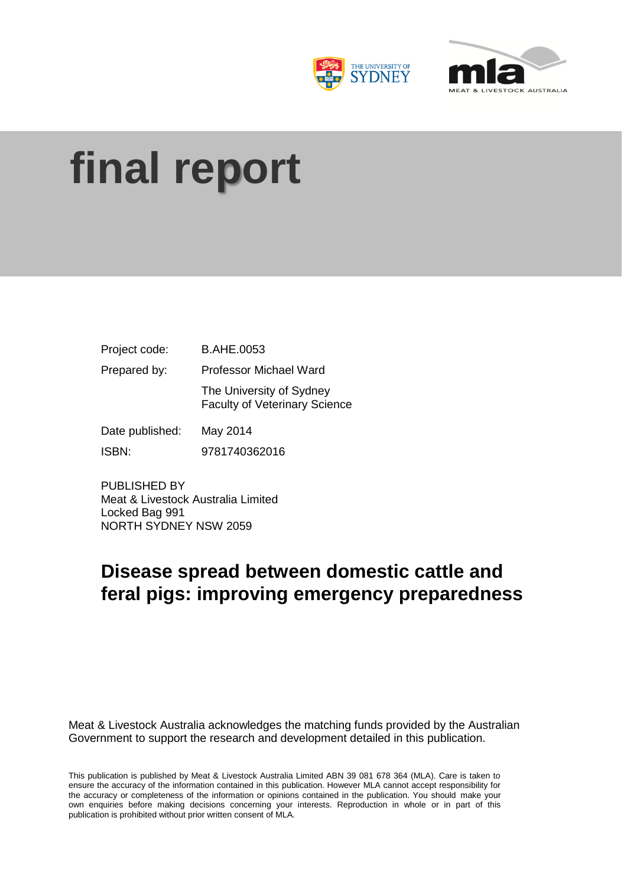



# **final report**

| Project code:   | <b>B.AHE.0053</b>                                                |  |  |  |
|-----------------|------------------------------------------------------------------|--|--|--|
| Prepared by:    | <b>Professor Michael Ward</b>                                    |  |  |  |
|                 | The University of Sydney<br><b>Faculty of Veterinary Science</b> |  |  |  |
| Date published: | May 2014                                                         |  |  |  |
| ISBN:           | 9781740362016                                                    |  |  |  |

PUBLISHED BY Meat & Livestock Australia Limited Locked Bag 991 NORTH SYDNEY NSW 2059

# **Disease spread between domestic cattle and feral pigs: improving emergency preparedness**

Meat & Livestock Australia acknowledges the matching funds provided by the Australian Government to support the research and development detailed in this publication.

This publication is published by Meat & Livestock Australia Limited ABN 39 081 678 364 (MLA). Care is taken to ensure the accuracy of the information contained in this publication. However MLA cannot accept responsibility for the accuracy or completeness of the information or opinions contained in the publication. You should make your own enquiries before making decisions concerning your interests. Reproduction in whole or in part of this publication is prohibited without prior written consent of MLA.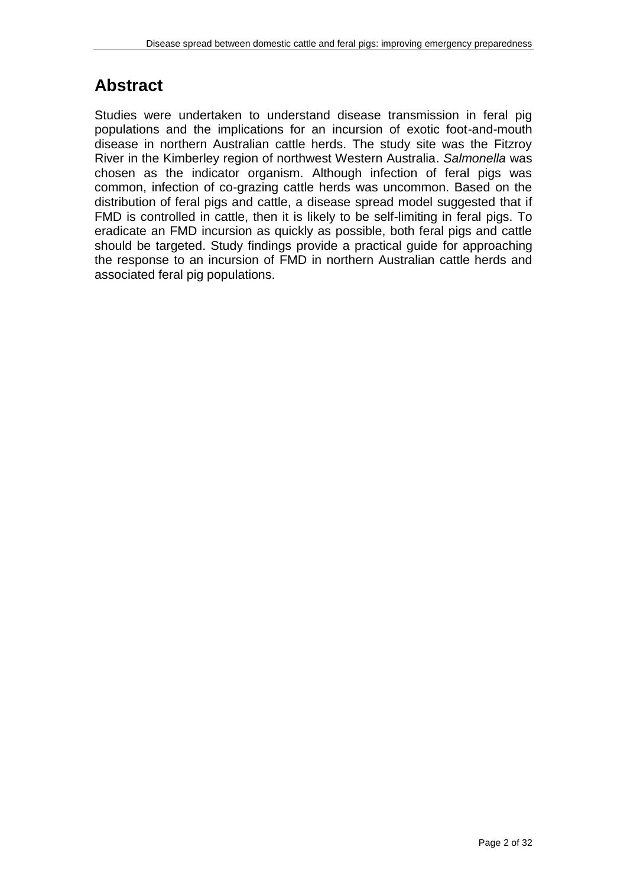# **Abstract**

Studies were undertaken to understand disease transmission in feral pig populations and the implications for an incursion of exotic foot-and-mouth disease in northern Australian cattle herds. The study site was the Fitzroy River in the Kimberley region of northwest Western Australia. *Salmonella* was chosen as the indicator organism. Although infection of feral pigs was common, infection of co-grazing cattle herds was uncommon. Based on the distribution of feral pigs and cattle, a disease spread model suggested that if FMD is controlled in cattle, then it is likely to be self-limiting in feral pigs. To eradicate an FMD incursion as quickly as possible, both feral pigs and cattle should be targeted. Study findings provide a practical guide for approaching the response to an incursion of FMD in northern Australian cattle herds and associated feral pig populations.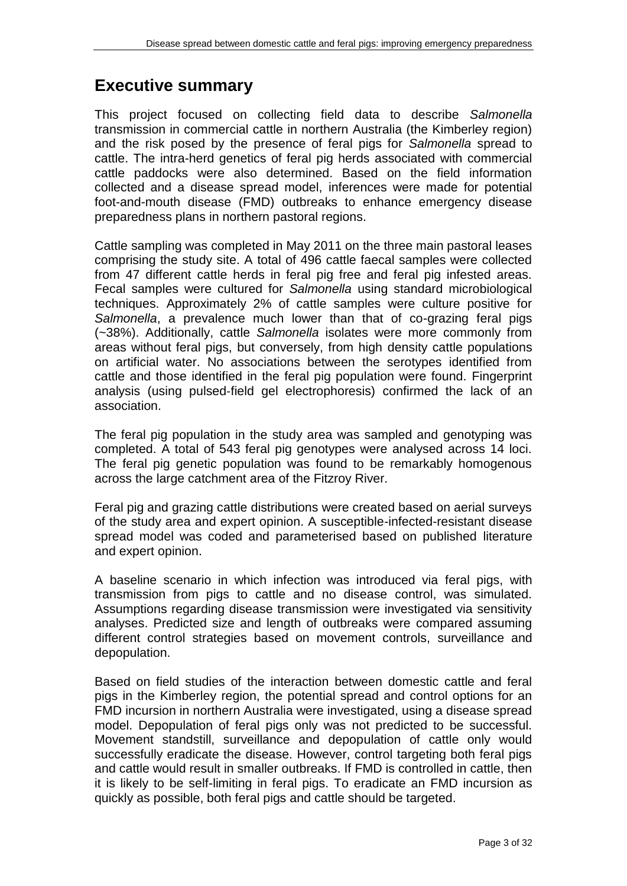## **Executive summary**

This project focused on collecting field data to describe *Salmonella*  transmission in commercial cattle in northern Australia (the Kimberley region) and the risk posed by the presence of feral pigs for *Salmonella* spread to cattle. The intra-herd genetics of feral pig herds associated with commercial cattle paddocks were also determined. Based on the field information collected and a disease spread model, inferences were made for potential foot-and-mouth disease (FMD) outbreaks to enhance emergency disease preparedness plans in northern pastoral regions.

Cattle sampling was completed in May 2011 on the three main pastoral leases comprising the study site. A total of 496 cattle faecal samples were collected from 47 different cattle herds in feral pig free and feral pig infested areas. Fecal samples were cultured for *Salmonella* using standard microbiological techniques. Approximately 2% of cattle samples were culture positive for *Salmonella*, a prevalence much lower than that of co-grazing feral pigs (~38%). Additionally, cattle *Salmonella* isolates were more commonly from areas without feral pigs, but conversely, from high density cattle populations on artificial water. No associations between the serotypes identified from cattle and those identified in the feral pig population were found. Fingerprint analysis (using pulsed‐field gel electrophoresis) confirmed the lack of an association.

The feral pig population in the study area was sampled and genotyping was completed. A total of 543 feral pig genotypes were analysed across 14 loci. The feral pig genetic population was found to be remarkably homogenous across the large catchment area of the Fitzroy River.

Feral pig and grazing cattle distributions were created based on aerial surveys of the study area and expert opinion. A susceptible-infected-resistant disease spread model was coded and parameterised based on published literature and expert opinion.

A baseline scenario in which infection was introduced via feral pigs, with transmission from pigs to cattle and no disease control, was simulated. Assumptions regarding disease transmission were investigated via sensitivity analyses. Predicted size and length of outbreaks were compared assuming different control strategies based on movement controls, surveillance and depopulation.

Based on field studies of the interaction between domestic cattle and feral pigs in the Kimberley region, the potential spread and control options for an FMD incursion in northern Australia were investigated, using a disease spread model. Depopulation of feral pigs only was not predicted to be successful. Movement standstill, surveillance and depopulation of cattle only would successfully eradicate the disease. However, control targeting both feral pigs and cattle would result in smaller outbreaks. If FMD is controlled in cattle, then it is likely to be self-limiting in feral pigs. To eradicate an FMD incursion as quickly as possible, both feral pigs and cattle should be targeted.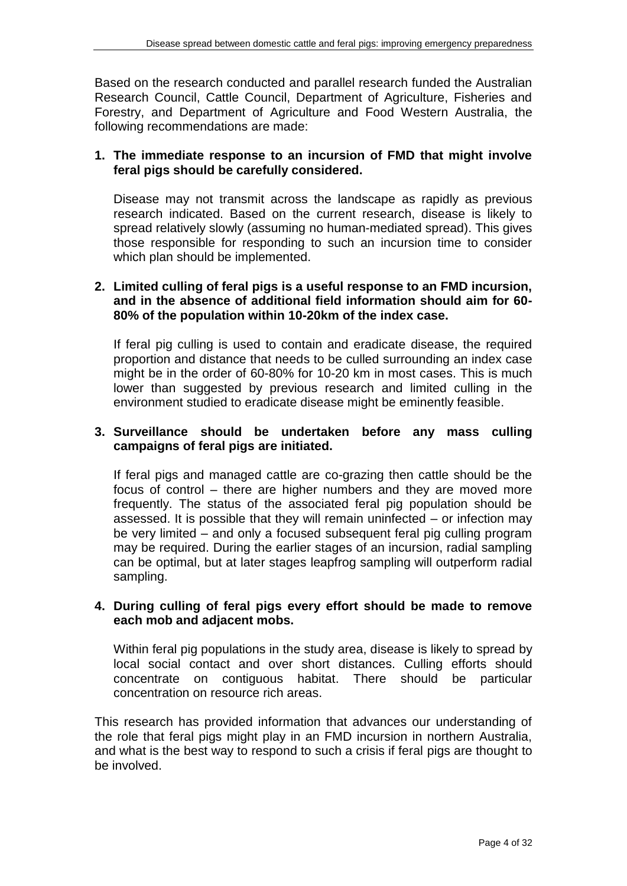Based on the research conducted and parallel research funded the Australian Research Council, Cattle Council, Department of Agriculture, Fisheries and Forestry, and Department of Agriculture and Food Western Australia, the following recommendations are made:

## **1. The immediate response to an incursion of FMD that might involve feral pigs should be carefully considered.**

Disease may not transmit across the landscape as rapidly as previous research indicated. Based on the current research, disease is likely to spread relatively slowly (assuming no human-mediated spread). This gives those responsible for responding to such an incursion time to consider which plan should be implemented.

## **2. Limited culling of feral pigs is a useful response to an FMD incursion, and in the absence of additional field information should aim for 60- 80% of the population within 10-20km of the index case.**

If feral pig culling is used to contain and eradicate disease, the required proportion and distance that needs to be culled surrounding an index case might be in the order of 60-80% for 10-20 km in most cases. This is much lower than suggested by previous research and limited culling in the environment studied to eradicate disease might be eminently feasible.

## **3. Surveillance should be undertaken before any mass culling campaigns of feral pigs are initiated.**

If feral pigs and managed cattle are co-grazing then cattle should be the focus of control – there are higher numbers and they are moved more frequently. The status of the associated feral pig population should be assessed. It is possible that they will remain uninfected – or infection may be very limited – and only a focused subsequent feral pig culling program may be required. During the earlier stages of an incursion, radial sampling can be optimal, but at later stages leapfrog sampling will outperform radial sampling.

## **4. During culling of feral pigs every effort should be made to remove each mob and adjacent mobs.**

Within feral pig populations in the study area, disease is likely to spread by local social contact and over short distances. Culling efforts should concentrate on contiguous habitat. There should be particular concentration on resource rich areas.

This research has provided information that advances our understanding of the role that feral pigs might play in an FMD incursion in northern Australia, and what is the best way to respond to such a crisis if feral pigs are thought to be involved.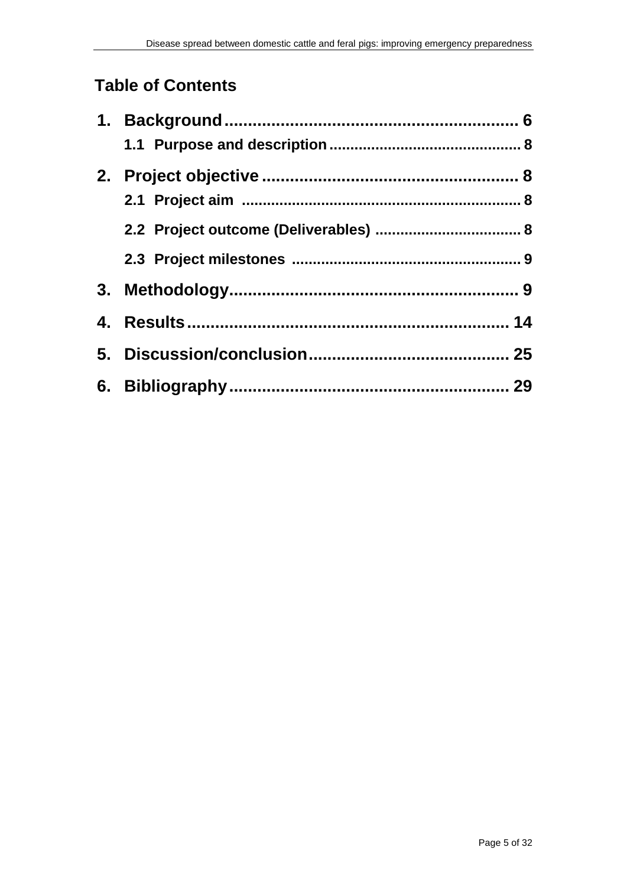# **Table of Contents**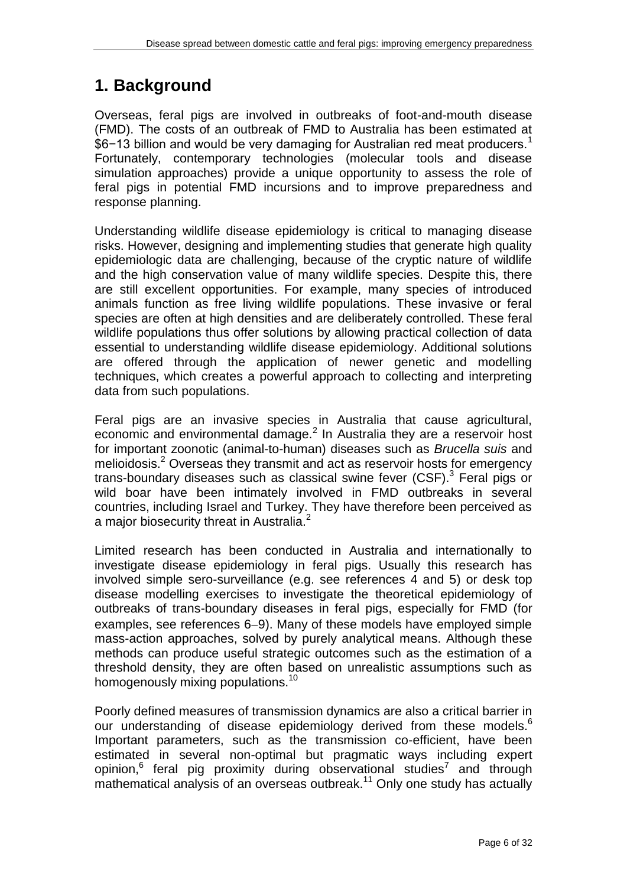# **1. Background**

Overseas, feral pigs are involved in outbreaks of foot-and-mouth disease (FMD). The costs of an outbreak of FMD to Australia has been estimated at \$6−13 billion and would be very damaging for Australian red meat producers.<sup>1</sup> Fortunately, contemporary technologies (molecular tools and disease simulation approaches) provide a unique opportunity to assess the role of feral pigs in potential FMD incursions and to improve preparedness and response planning.

Understanding wildlife disease epidemiology is critical to managing disease risks. However, designing and implementing studies that generate high quality epidemiologic data are challenging, because of the cryptic nature of wildlife and the high conservation value of many wildlife species. Despite this, there are still excellent opportunities. For example, many species of introduced animals function as free living wildlife populations. These invasive or feral species are often at high densities and are deliberately controlled. These feral wildlife populations thus offer solutions by allowing practical collection of data essential to understanding wildlife disease epidemiology. Additional solutions are offered through the application of newer genetic and modelling techniques, which creates a powerful approach to collecting and interpreting data from such populations.

Feral pigs are an invasive species in Australia that cause agricultural, economic and environmental damage.<sup>2</sup> In Australia they are a reservoir host for important zoonotic (animal-to-human) diseases such as *Brucella suis* and melioidosis.<sup>2</sup> Overseas they transmit and act as reservoir hosts for emergency trans-boundary diseases such as classical swine fever (CSF).<sup>3</sup> Feral pigs or wild boar have been intimately involved in FMD outbreaks in several countries, including Israel and Turkey. They have therefore been perceived as a major biosecurity threat in Australia.<sup>2</sup>

Limited research has been conducted in Australia and internationally to investigate disease epidemiology in feral pigs. Usually this research has involved simple sero-surveillance (e.g. see references 4 and 5) or desk top disease modelling exercises to investigate the theoretical epidemiology of outbreaks of trans-boundary diseases in feral pigs, especially for FMD (for examples, see references  $6-9$ ). Many of these models have employed simple mass-action approaches, solved by purely analytical means. Although these methods can produce useful strategic outcomes such as the estimation of a threshold density, they are often based on unrealistic assumptions such as homogenously mixing populations.<sup>10</sup>

Poorly defined measures of transmission dynamics are also a critical barrier in our understanding of disease epidemiology derived from these models.<sup>6</sup> Important parameters, such as the transmission co-efficient, have been estimated in several non-optimal but pragmatic ways including expert opinion,<sup>6</sup> feral pig proximity during observational studies<sup>7</sup> and through mathematical analysis of an overseas outbreak.<sup>11</sup> Only one study has actually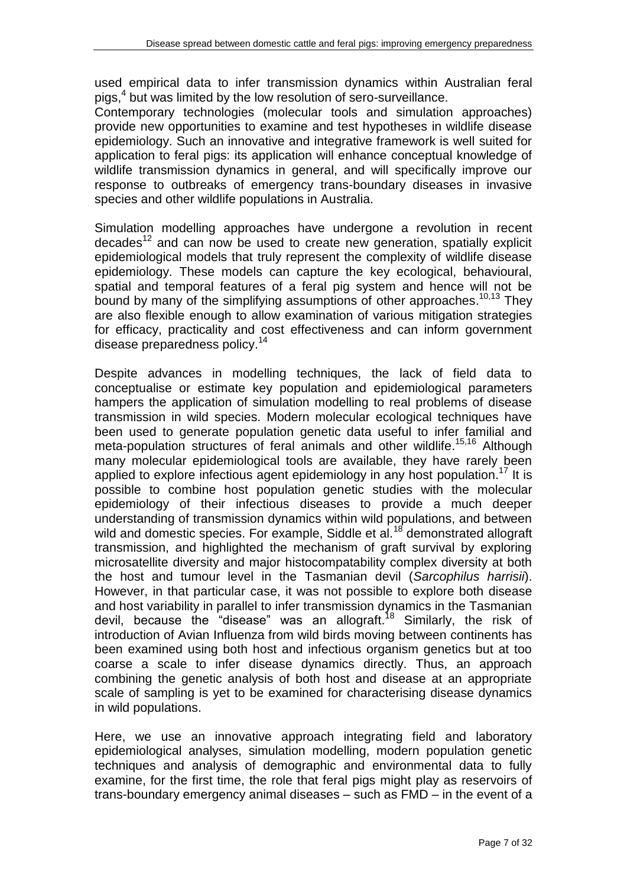used empirical data to infer transmission dynamics within Australian feral pigs,<sup>4</sup> but was limited by the low resolution of sero-surveillance.

Contemporary technologies (molecular tools and simulation approaches) provide new opportunities to examine and test hypotheses in wildlife disease epidemiology. Such an innovative and integrative framework is well suited for application to feral pigs: its application will enhance conceptual knowledge of wildlife transmission dynamics in general, and will specifically improve our response to outbreaks of emergency trans-boundary diseases in invasive species and other wildlife populations in Australia.

Simulation modelling approaches have undergone a revolution in recent decades<sup>12</sup> and can now be used to create new generation, spatially explicit epidemiological models that truly represent the complexity of wildlife disease epidemiology. These models can capture the key ecological, behavioural, spatial and temporal features of a feral pig system and hence will not be bound by many of the simplifying assumptions of other approaches.<sup>10,13</sup> They are also flexible enough to allow examination of various mitigation strategies for efficacy, practicality and cost effectiveness and can inform government disease preparedness policy.<sup>14</sup>

Despite advances in modelling techniques, the lack of field data to conceptualise or estimate key population and epidemiological parameters hampers the application of simulation modelling to real problems of disease transmission in wild species. Modern molecular ecological techniques have been used to generate population genetic data useful to infer familial and meta-population structures of feral animals and other wildlife. 15,16 Although many molecular epidemiological tools are available, they have rarely been applied to explore infectious agent epidemiology in any host population.<sup>17</sup> It is possible to combine host population genetic studies with the molecular epidemiology of their infectious diseases to provide a much deeper understanding of transmission dynamics within wild populations, and between wild and domestic species. For example, Siddle et al.<sup>18</sup> demonstrated allograft transmission, and highlighted the mechanism of graft survival by exploring microsatellite diversity and major histocompatability complex diversity at both the host and tumour level in the Tasmanian devil (*Sarcophilus harrisii*). However, in that particular case, it was not possible to explore both disease and host variability in parallel to infer transmission dynamics in the Tasmanian devil, because the "disease" was an allograft.<sup>18</sup> Similarly, the risk of introduction of Avian Influenza from wild birds moving between continents has been examined using both host and infectious organism genetics but at too coarse a scale to infer disease dynamics directly. Thus, an approach combining the genetic analysis of both host and disease at an appropriate scale of sampling is yet to be examined for characterising disease dynamics in wild populations.

Here, we use an innovative approach integrating field and laboratory epidemiological analyses, simulation modelling, modern population genetic techniques and analysis of demographic and environmental data to fully examine, for the first time, the role that feral pigs might play as reservoirs of trans-boundary emergency animal diseases – such as FMD – in the event of a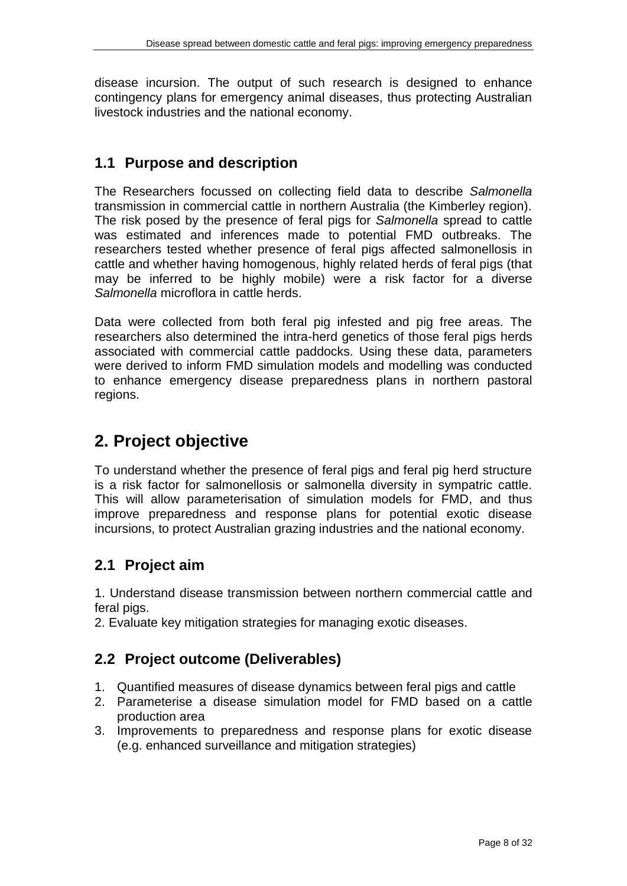disease incursion. The output of such research is designed to enhance contingency plans for emergency animal diseases, thus protecting Australian livestock industries and the national economy.

## **1.1 Purpose and description**

The Researchers focussed on collecting field data to describe *Salmonella*  transmission in commercial cattle in northern Australia (the Kimberley region). The risk posed by the presence of feral pigs for *Salmonella* spread to cattle was estimated and inferences made to potential FMD outbreaks. The researchers tested whether presence of feral pigs affected salmonellosis in cattle and whether having homogenous, highly related herds of feral pigs (that may be inferred to be highly mobile) were a risk factor for a diverse *Salmonella* microflora in cattle herds.

Data were collected from both feral pig infested and pig free areas. The researchers also determined the intra-herd genetics of those feral pigs herds associated with commercial cattle paddocks. Using these data, parameters were derived to inform FMD simulation models and modelling was conducted to enhance emergency disease preparedness plans in northern pastoral regions.

# **2. Project objective**

To understand whether the presence of feral pigs and feral pig herd structure is a risk factor for salmonellosis or salmonella diversity in sympatric cattle. This will allow parameterisation of simulation models for FMD, and thus improve preparedness and response plans for potential exotic disease incursions, to protect Australian grazing industries and the national economy.

## **2.1 Project aim**

1. Understand disease transmission between northern commercial cattle and feral pigs.

2. Evaluate key mitigation strategies for managing exotic diseases.

## **2.2 Project outcome (Deliverables)**

- 1. Quantified measures of disease dynamics between feral pigs and cattle
- 2. Parameterise a disease simulation model for FMD based on a cattle production area
- 3. Improvements to preparedness and response plans for exotic disease (e.g. enhanced surveillance and mitigation strategies)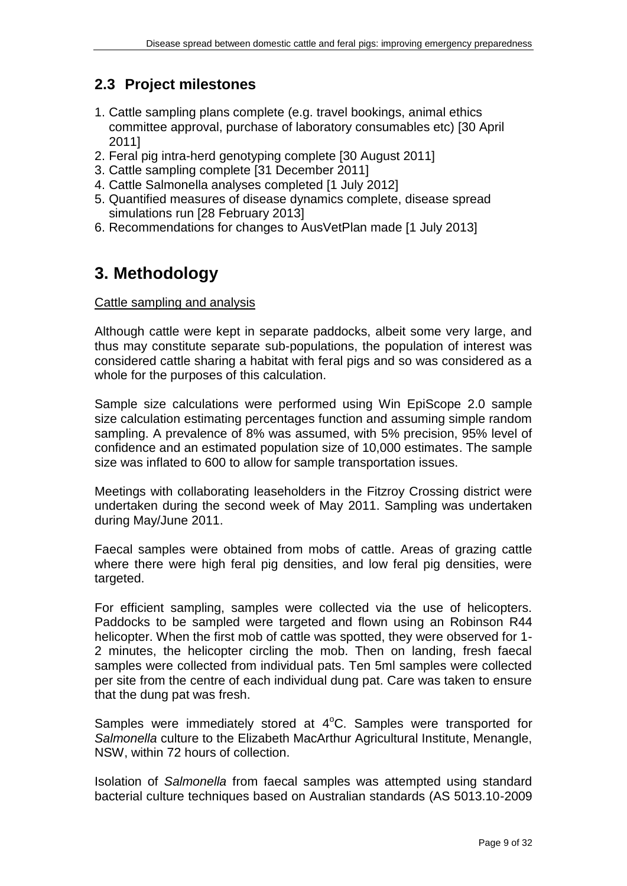## **2.3 Project milestones**

- 1. Cattle sampling plans complete (e.g. travel bookings, animal ethics committee approval, purchase of laboratory consumables etc) [30 April 2011]
- 2. Feral pig intra-herd genotyping complete [30 August 2011]
- 3. Cattle sampling complete [31 December 2011]
- 4. Cattle Salmonella analyses completed [1 July 2012]
- 5. Quantified measures of disease dynamics complete, disease spread simulations run [28 February 2013]
- 6. Recommendations for changes to AusVetPlan made [1 July 2013]

# **3. Methodology**

#### Cattle sampling and analysis

Although cattle were kept in separate paddocks, albeit some very large, and thus may constitute separate sub-populations, the population of interest was considered cattle sharing a habitat with feral pigs and so was considered as a whole for the purposes of this calculation.

Sample size calculations were performed using Win EpiScope 2.0 sample size calculation estimating percentages function and assuming simple random sampling. A prevalence of 8% was assumed, with 5% precision, 95% level of confidence and an estimated population size of 10,000 estimates. The sample size was inflated to 600 to allow for sample transportation issues.

Meetings with collaborating leaseholders in the Fitzroy Crossing district were undertaken during the second week of May 2011. Sampling was undertaken during May/June 2011.

Faecal samples were obtained from mobs of cattle. Areas of grazing cattle where there were high feral pig densities, and low feral pig densities, were targeted.

For efficient sampling, samples were collected via the use of helicopters. Paddocks to be sampled were targeted and flown using an Robinson R44 helicopter. When the first mob of cattle was spotted, they were observed for 1- 2 minutes, the helicopter circling the mob. Then on landing, fresh faecal samples were collected from individual pats. Ten 5ml samples were collected per site from the centre of each individual dung pat. Care was taken to ensure that the dung pat was fresh.

Samples were immediately stored at  $4^{\circ}$ C. Samples were transported for *Salmonella* culture to the Elizabeth MacArthur Agricultural Institute, Menangle, NSW, within 72 hours of collection.

Isolation of *Salmonella* from faecal samples was attempted using standard bacterial culture techniques based on Australian standards (AS 5013.10-2009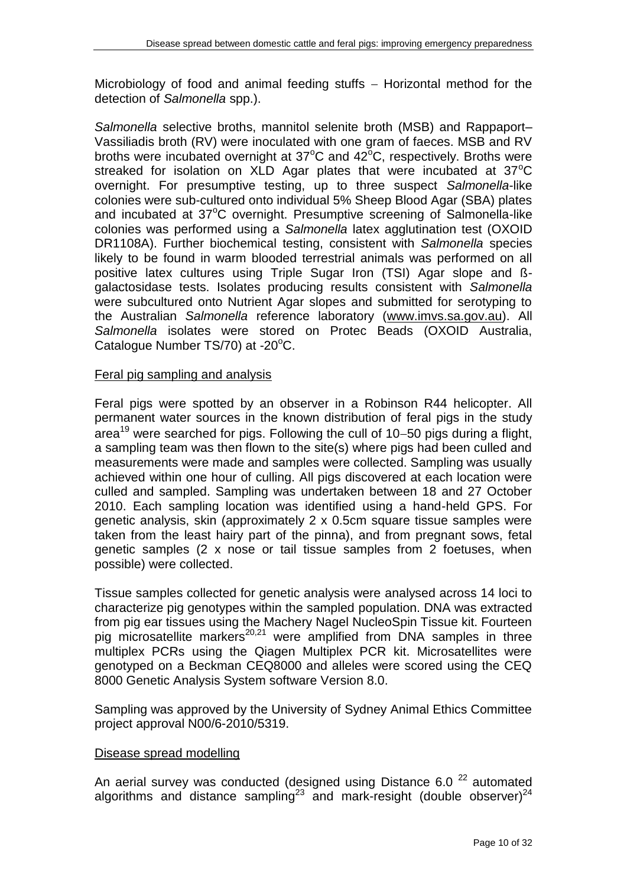Microbiology of food and animal feeding stuffs  $-$  Horizontal method for the detection of *Salmonella* spp.).

*Salmonella* selective broths, mannitol selenite broth (MSB) and Rappaport– Vassiliadis broth (RV) were inoculated with one gram of faeces. MSB and RV broths were incubated overnight at  $37^{\circ}$ C and  $42^{\circ}$ C, respectively. Broths were streaked for isolation on  $XLD$  Agar plates that were incubated at  $37^{\circ}C$ overnight. For presumptive testing, up to three suspect *Salmonella*-like colonies were sub-cultured onto individual 5% Sheep Blood Agar (SBA) plates and incubated at  $37^{\circ}$ C overnight. Presumptive screening of Salmonella-like colonies was performed using a *Salmonella* latex agglutination test (OXOID DR1108A). Further biochemical testing, consistent with *Salmonella* species likely to be found in warm blooded terrestrial animals was performed on all positive latex cultures using Triple Sugar Iron (TSI) Agar slope and ßgalactosidase tests. Isolates producing results consistent with *Salmonella* were subcultured onto Nutrient Agar slopes and submitted for serotyping to the Australian *Salmonella* reference laboratory [\(www.imvs.sa.gov.au\)](http://www.yellowpages.com.au/app/redirect?headingCode=40630&productId=475069711&productVersion=32&listingUrl=%2Fsa%2Fadelaide%2Fimvs-12930932-listing.html&webSite=http%3A%2F%2Fwww.imvs.sa.gov.au&pt=w&context=unknown&referredBy=www.google.com.au&eventType=websiteReferral). All *Salmonella* isolates were stored on Protec Beads (OXOID Australia, Catalogue Number  $TS/70$ ) at -20 $°C$ .

## Feral pig sampling and analysis

Feral pigs were spotted by an observer in a Robinson R44 helicopter. All permanent water sources in the known distribution of feral pigs in the study area<sup>19</sup> were searched for pigs. Following the cull of 10–50 pigs during a flight, a sampling team was then flown to the site(s) where pigs had been culled and measurements were made and samples were collected. Sampling was usually achieved within one hour of culling. All pigs discovered at each location were culled and sampled. Sampling was undertaken between 18 and 27 October 2010. Each sampling location was identified using a hand-held GPS. For genetic analysis, skin (approximately 2 x 0.5cm square tissue samples were taken from the least hairy part of the pinna), and from pregnant sows, fetal genetic samples (2 x nose or tail tissue samples from 2 foetuses, when possible) were collected.

Tissue samples collected for genetic analysis were analysed across 14 loci to characterize pig genotypes within the sampled population. DNA was extracted from pig ear tissues using the Machery Nagel NucleoSpin Tissue kit. Fourteen pig microsatellite markers<sup>20,21</sup> were amplified from DNA samples in three multiplex PCRs using the Qiagen Multiplex PCR kit. Microsatellites were genotyped on a Beckman CEQ8000 and alleles were scored using the CEQ 8000 Genetic Analysis System software Version 8.0.

Sampling was approved by the University of Sydney Animal Ethics Committee project approval N00/6-2010/5319.

#### Disease spread modelling

An aerial survey was conducted (designed using Distance 6.0<sup>22</sup> automated algorithms and distance sampling<sup>23</sup> and mark-resight (double observer)<sup>24</sup>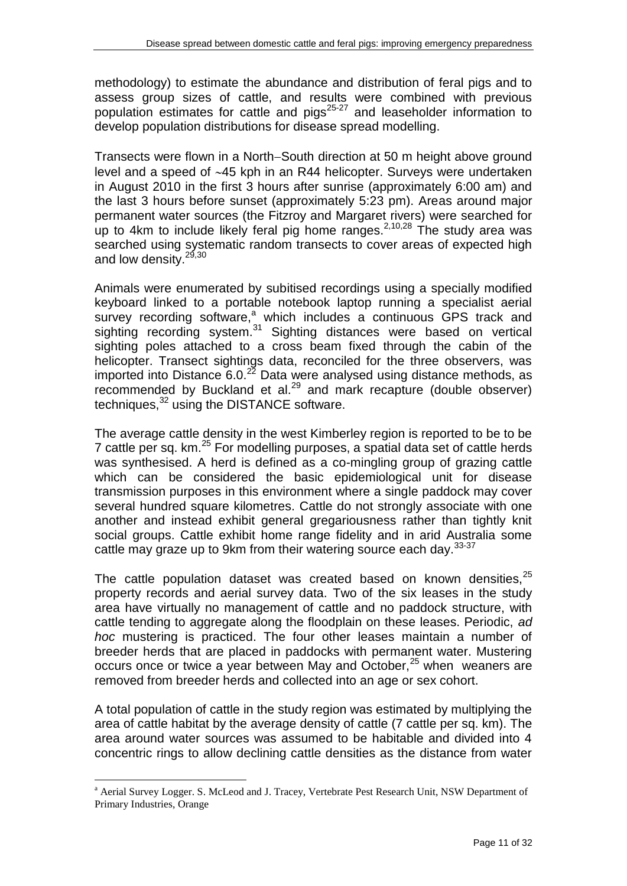methodology) to estimate the abundance and distribution of feral pigs and to assess group sizes of cattle, and results were combined with previous population estimates for cattle and pigs<sup>25-27</sup> and leaseholder information to develop population distributions for disease spread modelling.

Transects were flown in a North-South direction at 50 m height above ground level and a speed of ~45 kph in an R44 helicopter. Surveys were undertaken in August 2010 in the first 3 hours after sunrise (approximately 6:00 am) and the last 3 hours before sunset (approximately 5:23 pm). Areas around major permanent water sources (the Fitzroy and Margaret rivers) were searched for up to 4km to include likely feral pig home ranges.<sup>2,10,28</sup> The study area was searched using systematic random transects to cover areas of expected high and low density.<sup>29,30</sup>

Animals were enumerated by subitised recordings using a specially modified keyboard linked to a portable notebook laptop running a specialist aerial survey recording software,<sup>a</sup> which includes a continuous GPS track and sighting recording system.<sup>31</sup> Sighting distances were based on vertical sighting poles attached to a cross beam fixed through the cabin of the helicopter. Transect sightings data, reconciled for the three observers, was imported into Distance  $6.0.^{22}$  Data were analysed using distance methods, as recommended by Buckland et al. $^{29}$  and mark recapture (double observer) techniques,<sup>32</sup> using the DISTANCE software.

The average cattle density in the west Kimberley region is reported to be to be 7 cattle per sq. km.<sup>25</sup> For modelling purposes, a spatial data set of cattle herds was synthesised. A herd is defined as a co-mingling group of grazing cattle which can be considered the basic epidemiological unit for disease transmission purposes in this environment where a single paddock may cover several hundred square kilometres. Cattle do not strongly associate with one another and instead exhibit general gregariousness rather than tightly knit social groups. Cattle exhibit home range fidelity and in arid Australia some cattle may graze up to 9km from their watering source each day.<sup>33-37</sup>

The cattle population dataset was created based on known densities.<sup>25</sup> property records and aerial survey data. Two of the six leases in the study area have virtually no management of cattle and no paddock structure, with cattle tending to aggregate along the floodplain on these leases. Periodic, *ad hoc* mustering is practiced. The four other leases maintain a number of breeder herds that are placed in paddocks with permanent water. Mustering occurs once or twice a year between May and October,<sup>25</sup> when weaners are removed from breeder herds and collected into an age or sex cohort.

A total population of cattle in the study region was estimated by multiplying the area of cattle habitat by the average density of cattle (7 cattle per sq. km). The area around water sources was assumed to be habitable and divided into 4 concentric rings to allow declining cattle densities as the distance from water

 $\overline{a}$ 

<sup>a</sup> Aerial Survey Logger. S. McLeod and J. Tracey, Vertebrate Pest Research Unit, NSW Department of Primary Industries, Orange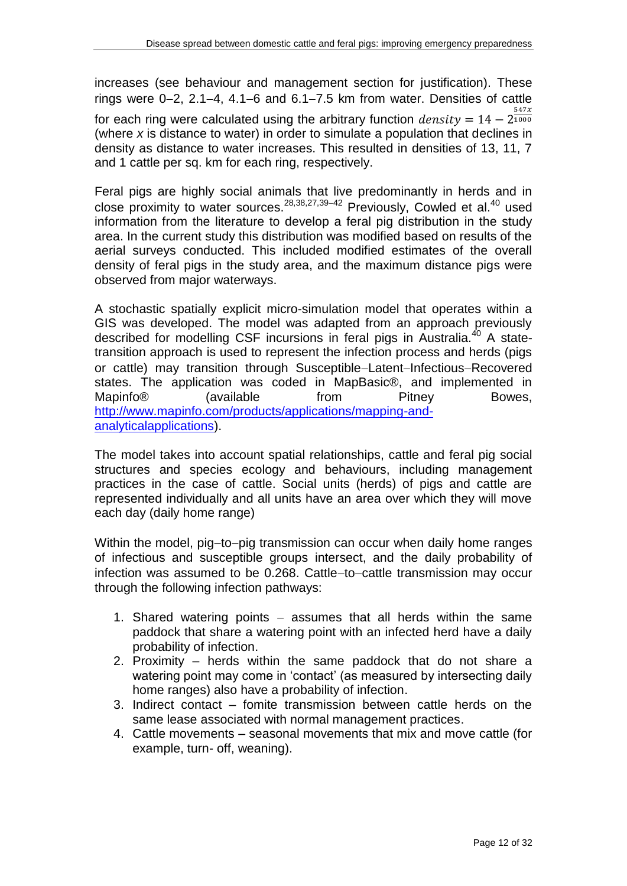increases (see behaviour and management section for justification). These rings were  $0-2$ , 2.1-4, 4.1-6 and 6.1-7.5 km from water. Densities of cattle for each ring were calculated using the arbitrary function  $density = 14 - 2^{\frac{5}{14}}$  $\mathbf{1}$ (where *x* is distance to water) in order to simulate a population that declines in density as distance to water increases. This resulted in densities of 13, 11, 7 and 1 cattle per sq. km for each ring, respectively.

Feral pigs are highly social animals that live predominantly in herds and in close proximity to water sources.  $28,38,27,39-42$  Previously, Cowled et al.<sup>40</sup> used information from the literature to develop a feral pig distribution in the study area. In the current study this distribution was modified based on results of the aerial surveys conducted. This included modified estimates of the overall density of feral pigs in the study area, and the maximum distance pigs were observed from major waterways.

A stochastic spatially explicit micro-simulation model that operates within a GIS was developed. The model was adapted from an approach previously described for modelling CSF incursions in feral pigs in Australia.<sup>40</sup> A statetransition approach is used to represent the infection process and herds (pigs or cattle) may transition through Susceptible-Latent-Infectious-Recovered states. The application was coded in MapBasic®, and implemented in Mapinfo® (available from Pitney Bowes, [http://www.mapinfo.com/products/applications/mapping-and](http://www.mapinfo.com/products/applications/mapping-and-analyticalapplications)[analyticalapplications\)](http://www.mapinfo.com/products/applications/mapping-and-analyticalapplications).

The model takes into account spatial relationships, cattle and feral pig social structures and species ecology and behaviours, including management practices in the case of cattle. Social units (herds) of pigs and cattle are represented individually and all units have an area over which they will move each day (daily home range)

Within the model, pig-to-pig transmission can occur when daily home ranges of infectious and susceptible groups intersect, and the daily probability of infection was assumed to be 0.268. Cattle-to-cattle transmission may occur through the following infection pathways:

- 1. Shared watering points  $-$  assumes that all herds within the same paddock that share a watering point with an infected herd have a daily probability of infection.
- 2. Proximity herds within the same paddock that do not share a watering point may come in 'contact' (as measured by intersecting daily home ranges) also have a probability of infection.
- 3. Indirect contact fomite transmission between cattle herds on the same lease associated with normal management practices.
- 4. Cattle movements seasonal movements that mix and move cattle (for example, turn- off, weaning).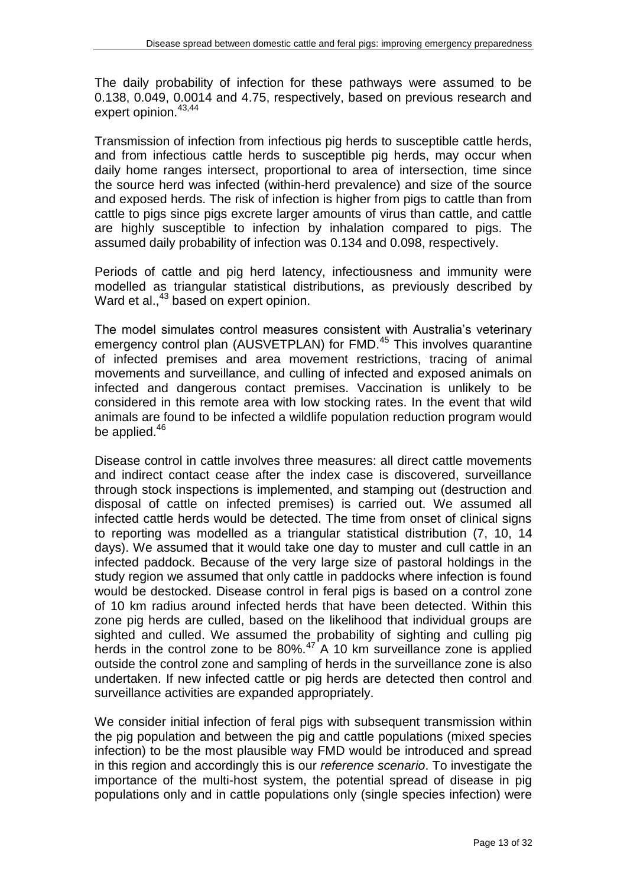The daily probability of infection for these pathways were assumed to be 0.138, 0.049, 0.0014 and 4.75, respectively, based on previous research and expert opinion.<sup>43,44</sup>

Transmission of infection from infectious pig herds to susceptible cattle herds, and from infectious cattle herds to susceptible pig herds, may occur when daily home ranges intersect, proportional to area of intersection, time since the source herd was infected (within-herd prevalence) and size of the source and exposed herds. The risk of infection is higher from pigs to cattle than from cattle to pigs since pigs excrete larger amounts of virus than cattle, and cattle are highly susceptible to infection by inhalation compared to pigs. The assumed daily probability of infection was 0.134 and 0.098, respectively.

Periods of cattle and pig herd latency, infectiousness and immunity were modelled as triangular statistical distributions, as previously described by Ward et al.,<sup>43</sup> based on expert opinion.

The model simulates control measures consistent with Australia's veterinary emergency control plan (AUSVETPLAN) for FMD.<sup>45</sup> This involves quarantine of infected premises and area movement restrictions, tracing of animal movements and surveillance, and culling of infected and exposed animals on infected and dangerous contact premises. Vaccination is unlikely to be considered in this remote area with low stocking rates. In the event that wild animals are found to be infected a wildlife population reduction program would be applied.<sup>46</sup>

Disease control in cattle involves three measures: all direct cattle movements and indirect contact cease after the index case is discovered, surveillance through stock inspections is implemented, and stamping out (destruction and disposal of cattle on infected premises) is carried out. We assumed all infected cattle herds would be detected. The time from onset of clinical signs to reporting was modelled as a triangular statistical distribution (7, 10, 14 days). We assumed that it would take one day to muster and cull cattle in an infected paddock. Because of the very large size of pastoral holdings in the study region we assumed that only cattle in paddocks where infection is found would be destocked. Disease control in feral pigs is based on a control zone of 10 km radius around infected herds that have been detected. Within this zone pig herds are culled, based on the likelihood that individual groups are sighted and culled. We assumed the probability of sighting and culling pig herds in the control zone to be 80%.<sup>47</sup> A 10 km surveillance zone is applied outside the control zone and sampling of herds in the surveillance zone is also undertaken. If new infected cattle or pig herds are detected then control and surveillance activities are expanded appropriately.

We consider initial infection of feral pigs with subsequent transmission within the pig population and between the pig and cattle populations (mixed species infection) to be the most plausible way FMD would be introduced and spread in this region and accordingly this is our *reference scenario*. To investigate the importance of the multi-host system, the potential spread of disease in pig populations only and in cattle populations only (single species infection) were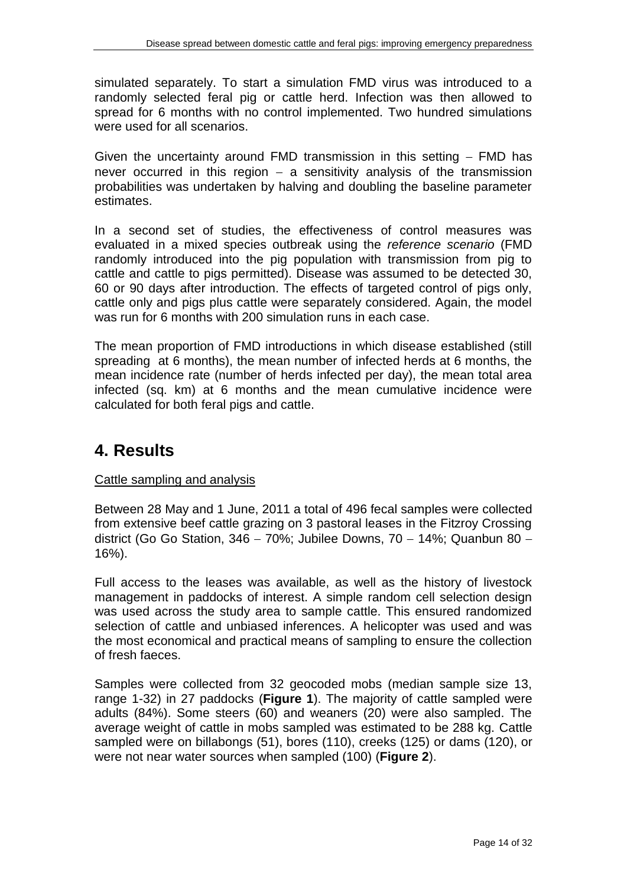simulated separately. To start a simulation FMD virus was introduced to a randomly selected feral pig or cattle herd. Infection was then allowed to spread for 6 months with no control implemented. Two hundred simulations were used for all scenarios.

Given the uncertainty around FMD transmission in this setting  $-$  FMD has never occurred in this region  $-$  a sensitivity analysis of the transmission probabilities was undertaken by halving and doubling the baseline parameter estimates.

In a second set of studies, the effectiveness of control measures was evaluated in a mixed species outbreak using the *reference scenario* (FMD randomly introduced into the pig population with transmission from pig to cattle and cattle to pigs permitted). Disease was assumed to be detected 30, 60 or 90 days after introduction. The effects of targeted control of pigs only, cattle only and pigs plus cattle were separately considered. Again, the model was run for 6 months with 200 simulation runs in each case.

The mean proportion of FMD introductions in which disease established (still spreading at 6 months), the mean number of infected herds at 6 months, the mean incidence rate (number of herds infected per day), the mean total area infected (sq. km) at 6 months and the mean cumulative incidence were calculated for both feral pigs and cattle.

## **4. Results**

## Cattle sampling and analysis

Between 28 May and 1 June, 2011 a total of 496 fecal samples were collected from extensive beef cattle grazing on 3 pastoral leases in the Fitzroy Crossing district (Go Go Station, 346 - 70%; Jubilee Downs, 70 - 14%; Quanbun 80 -16%).

Full access to the leases was available, as well as the history of livestock management in paddocks of interest. A simple random cell selection design was used across the study area to sample cattle. This ensured randomized selection of cattle and unbiased inferences. A helicopter was used and was the most economical and practical means of sampling to ensure the collection of fresh faeces.

Samples were collected from 32 geocoded mobs (median sample size 13, range 1-32) in 27 paddocks (**Figure 1**). The majority of cattle sampled were adults (84%). Some steers (60) and weaners (20) were also sampled. The average weight of cattle in mobs sampled was estimated to be 288 kg. Cattle sampled were on billabongs (51), bores (110), creeks (125) or dams (120), or were not near water sources when sampled (100) (**Figure 2**).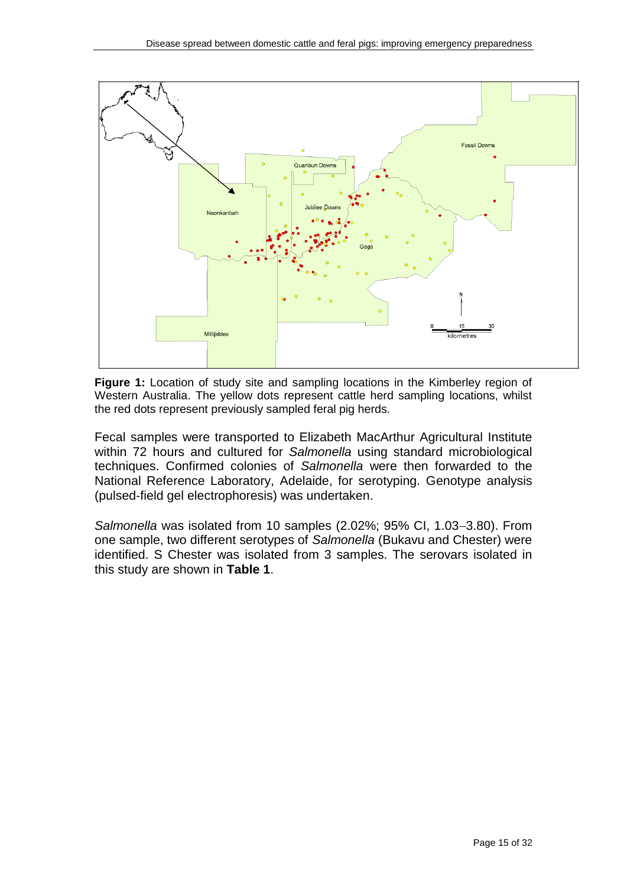

**Figure 1:** Location of study site and sampling locations in the Kimberley region of Western Australia. The yellow dots represent cattle herd sampling locations, whilst the red dots represent previously sampled feral pig herds.

Fecal samples were transported to Elizabeth MacArthur Agricultural Institute within 72 hours and cultured for *Salmonella* using standard microbiological techniques. Confirmed colonies of *Salmonella* were then forwarded to the National Reference Laboratory, Adelaide, for serotyping. Genotype analysis (pulsed‐field gel electrophoresis) was undertaken.

*Salmonella* was isolated from 10 samples (2.02%; 95% CI, 1.03-3.80). From one sample, two different serotypes of *Salmonella* (Bukavu and Chester) were identified. S Chester was isolated from 3 samples. The serovars isolated in this study are shown in **Table 1**.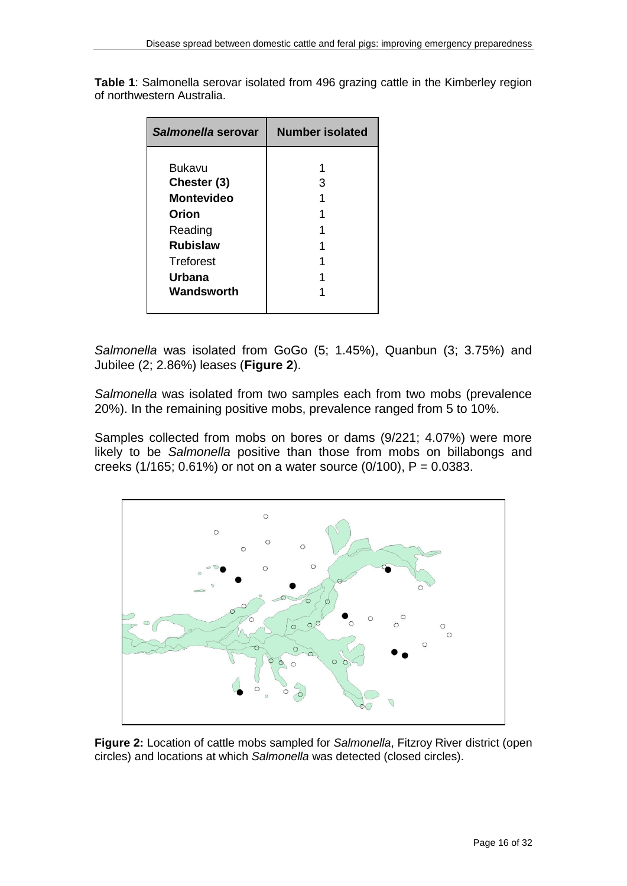| Salmonella serovar                                                                                                            | Number isolated |  |  |  |  |
|-------------------------------------------------------------------------------------------------------------------------------|-----------------|--|--|--|--|
| <b>Bukavu</b><br>Chester (3)<br><b>Montevideo</b><br>Orion<br>Reading<br><b>Rubislaw</b><br>Treforest<br>Urbana<br>Wandsworth | з               |  |  |  |  |

**Table 1**: Salmonella serovar isolated from 496 grazing cattle in the Kimberley region of northwestern Australia.

*Salmonella* was isolated from GoGo (5; 1.45%), Quanbun (3; 3.75%) and Jubilee (2; 2.86%) leases (**Figure 2**).

*Salmonella* was isolated from two samples each from two mobs (prevalence 20%). In the remaining positive mobs, prevalence ranged from 5 to 10%.

Samples collected from mobs on bores or dams (9/221; 4.07%) were more likely to be *Salmonella* positive than those from mobs on billabongs and creeks (1/165; 0.61%) or not on a water source (0/100), P = 0.0383.



**Figure 2:** Location of cattle mobs sampled for *Salmonella*, Fitzroy River district (open circles) and locations at which *Salmonella* was detected (closed circles).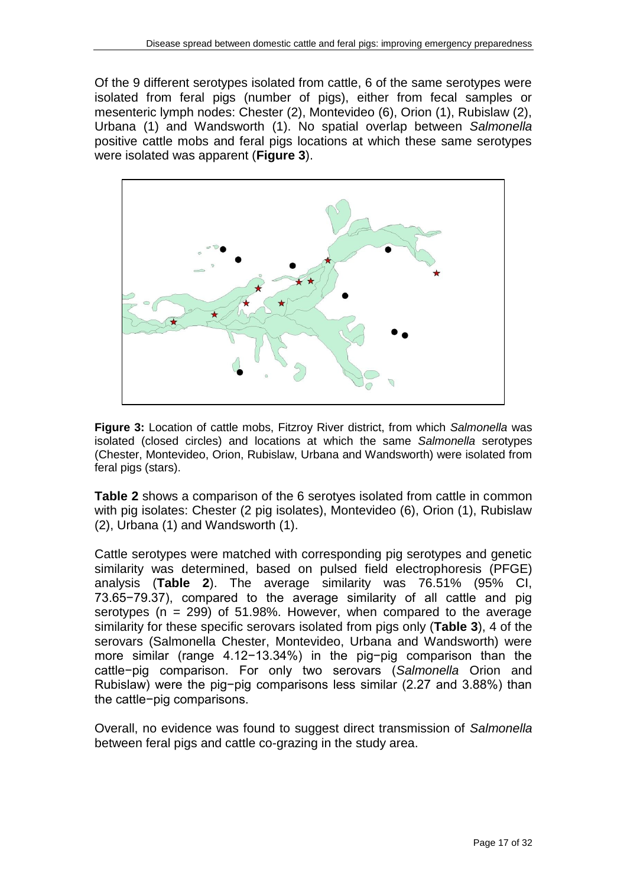Of the 9 different serotypes isolated from cattle, 6 of the same serotypes were isolated from feral pigs (number of pigs), either from fecal samples or mesenteric lymph nodes: Chester (2), Montevideo (6), Orion (1), Rubislaw (2), Urbana (1) and Wandsworth (1). No spatial overlap between *Salmonella* positive cattle mobs and feral pigs locations at which these same serotypes were isolated was apparent (**Figure 3**).



**Figure 3:** Location of cattle mobs, Fitzroy River district, from which *Salmonella* was isolated (closed circles) and locations at which the same *Salmonella* serotypes (Chester, Montevideo, Orion, Rubislaw, Urbana and Wandsworth) were isolated from feral pigs (stars).

**Table 2** shows a comparison of the 6 serotyes isolated from cattle in common with pig isolates: Chester (2 pig isolates), Montevideo (6), Orion (1), Rubislaw (2), Urbana (1) and Wandsworth (1).

Cattle serotypes were matched with corresponding pig serotypes and genetic similarity was determined, based on pulsed field electrophoresis (PFGE) analysis (**Table 2**). The average similarity was 76.51% (95% CI, 73.65−79.37), compared to the average similarity of all cattle and pig serotypes ( $n = 299$ ) of 51.98%. However, when compared to the average similarity for these specific serovars isolated from pigs only (**Table 3**), 4 of the serovars (Salmonella Chester, Montevideo, Urbana and Wandsworth) were more similar (range 4.12−13.34%) in the pig−pig comparison than the cattle−pig comparison. For only two serovars (*Salmonella* Orion and Rubislaw) were the pig−pig comparisons less similar (2.27 and 3.88%) than the cattle−pig comparisons.

Overall, no evidence was found to suggest direct transmission of *Salmonella* between feral pigs and cattle co-grazing in the study area.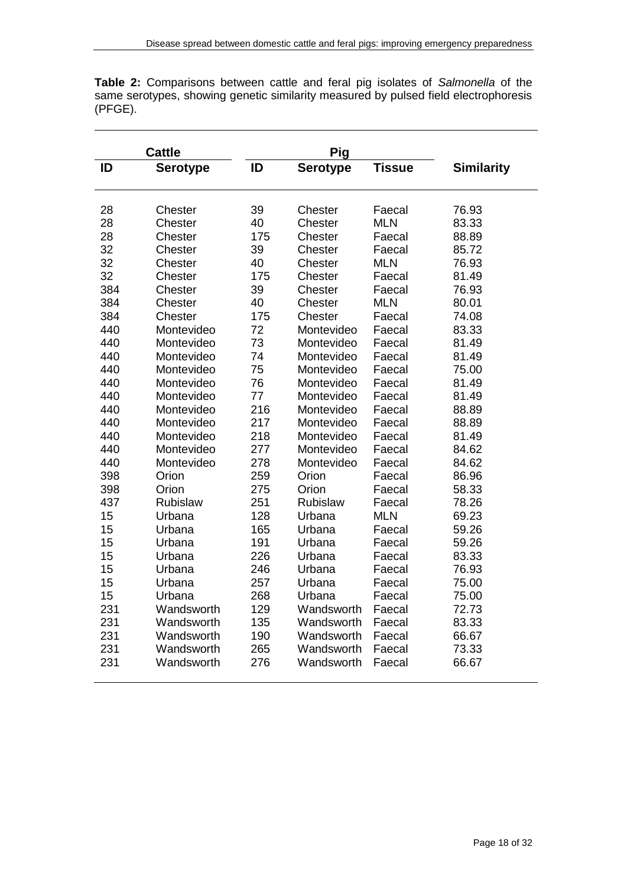|         |  |  |  |  |  | <b>Table 2:</b> Comparisons between cattle and feral pig isolates of Salmonella of the |  |
|---------|--|--|--|--|--|----------------------------------------------------------------------------------------|--|
|         |  |  |  |  |  | same serotypes, showing genetic similarity measured by pulsed field electrophoresis    |  |
| (PFGE). |  |  |  |  |  |                                                                                        |  |

|     | <b>Cattle</b>   |     | Pig             |               |                   |
|-----|-----------------|-----|-----------------|---------------|-------------------|
| ID  | <b>Serotype</b> | ID  | <b>Serotype</b> | <b>Tissue</b> | <b>Similarity</b> |
|     |                 |     |                 |               |                   |
| 28  | Chester         | 39  | Chester         | Faecal        | 76.93             |
| 28  | Chester         | 40  | Chester         | <b>MLN</b>    | 83.33             |
| 28  | Chester         | 175 | Chester         | Faecal        | 88.89             |
| 32  | Chester         | 39  | Chester         | Faecal        | 85.72             |
| 32  | Chester         | 40  | Chester         | <b>MLN</b>    | 76.93             |
| 32  | Chester         | 175 | Chester         | Faecal        | 81.49             |
| 384 | Chester         | 39  | Chester         | Faecal        | 76.93             |
| 384 | Chester         | 40  | Chester         | <b>MLN</b>    | 80.01             |
| 384 | Chester         | 175 | Chester         | Faecal        | 74.08             |
| 440 | Montevideo      | 72  | Montevideo      | Faecal        | 83.33             |
| 440 | Montevideo      | 73  | Montevideo      | Faecal        | 81.49             |
| 440 | Montevideo      | 74  | Montevideo      | Faecal        | 81.49             |
| 440 | Montevideo      | 75  | Montevideo      | Faecal        | 75.00             |
| 440 | Montevideo      | 76  | Montevideo      | Faecal        | 81.49             |
| 440 | Montevideo      | 77  | Montevideo      | Faecal        | 81.49             |
| 440 | Montevideo      | 216 | Montevideo      | Faecal        | 88.89             |
| 440 | Montevideo      | 217 | Montevideo      | Faecal        | 88.89             |
| 440 | Montevideo      | 218 | Montevideo      | Faecal        | 81.49             |
| 440 | Montevideo      | 277 | Montevideo      | Faecal        | 84.62             |
| 440 | Montevideo      | 278 | Montevideo      | Faecal        | 84.62             |
| 398 | Orion           | 259 | Orion           | Faecal        | 86.96             |
| 398 | Orion           | 275 | Orion           | Faecal        | 58.33             |
| 437 | Rubislaw        | 251 | Rubislaw        | Faecal        | 78.26             |
| 15  | Urbana          | 128 | Urbana          | <b>MLN</b>    | 69.23             |
| 15  | Urbana          | 165 | Urbana          | Faecal        | 59.26             |
| 15  | Urbana          | 191 | Urbana          | Faecal        | 59.26             |
| 15  | Urbana          | 226 | Urbana          | Faecal        | 83.33             |
| 15  | Urbana          | 246 | Urbana          | Faecal        | 76.93             |
| 15  | Urbana          | 257 | Urbana          | Faecal        | 75.00             |
| 15  | Urbana          | 268 | Urbana          | Faecal        | 75.00             |
| 231 | Wandsworth      | 129 | Wandsworth      | Faecal        | 72.73             |
| 231 | Wandsworth      | 135 | Wandsworth      | Faecal        | 83.33             |
| 231 | Wandsworth      | 190 | Wandsworth      | Faecal        | 66.67             |
| 231 | Wandsworth      | 265 | Wandsworth      | Faecal        | 73.33             |
| 231 | Wandsworth      | 276 | Wandsworth      | Faecal        | 66.67             |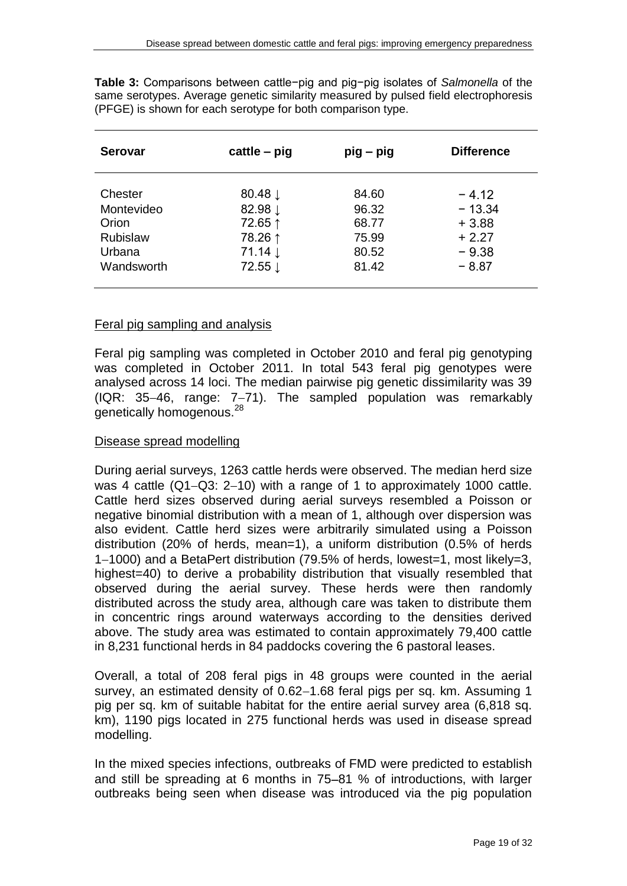| <b>Serovar</b>  | $c$ attle – pig    | $pig - pig$ | <b>Difference</b> |
|-----------------|--------------------|-------------|-------------------|
| <b>Chester</b>  | 80.48 $\downarrow$ | 84.60       | $-412$            |
| Montevideo      | 82.98 ↓            | 96.32       | $-13.34$          |
| Orion           | 72.65 ↑            | 68.77       | $+3.88$           |
| <b>Rubislaw</b> | 78.26 ↑            | 75.99       | $+2.27$           |
| Urbana          | 71.14 $\downarrow$ | 80.52       | $-9.38$           |
| Wandsworth      | 72.55 ↓            | 81.42       | $-8.87$           |

**Table 3:** Comparisons between cattle−pig and pig−pig isolates of *Salmonella* of the same serotypes. Average genetic similarity measured by pulsed field electrophoresis (PFGE) is shown for each serotype for both comparison type.

#### Feral pig sampling and analysis

Feral pig sampling was completed in October 2010 and feral pig genotyping was completed in October 2011. In total 543 feral pig genotypes were analysed across 14 loci. The median pairwise pig genetic dissimilarity was 39  $(IR: 35-46.$  range:  $7-71$ ). The sampled population was remarkably genetically homogenous.<sup>28</sup>

#### Disease spread modelling

During aerial surveys, 1263 cattle herds were observed. The median herd size was 4 cattle  $(Q1-Q3: 2-10)$  with a range of 1 to approximately 1000 cattle. Cattle herd sizes observed during aerial surveys resembled a Poisson or negative binomial distribution with a mean of 1, although over dispersion was also evident. Cattle herd sizes were arbitrarily simulated using a Poisson distribution (20% of herds, mean=1), a uniform distribution (0.5% of herds 1-1000) and a BetaPert distribution (79.5% of herds, lowest=1, most likely=3, highest=40) to derive a probability distribution that visually resembled that observed during the aerial survey. These herds were then randomly distributed across the study area, although care was taken to distribute them in concentric rings around waterways according to the densities derived above. The study area was estimated to contain approximately 79,400 cattle in 8,231 functional herds in 84 paddocks covering the 6 pastoral leases.

Overall, a total of 208 feral pigs in 48 groups were counted in the aerial survey, an estimated density of 0.62-1.68 feral pigs per sq. km. Assuming 1 pig per sq. km of suitable habitat for the entire aerial survey area (6,818 sq. km), 1190 pigs located in 275 functional herds was used in disease spread modelling.

In the mixed species infections, outbreaks of FMD were predicted to establish and still be spreading at 6 months in  $75-81$  % of introductions, with larger outbreaks being seen when disease was introduced via the pig population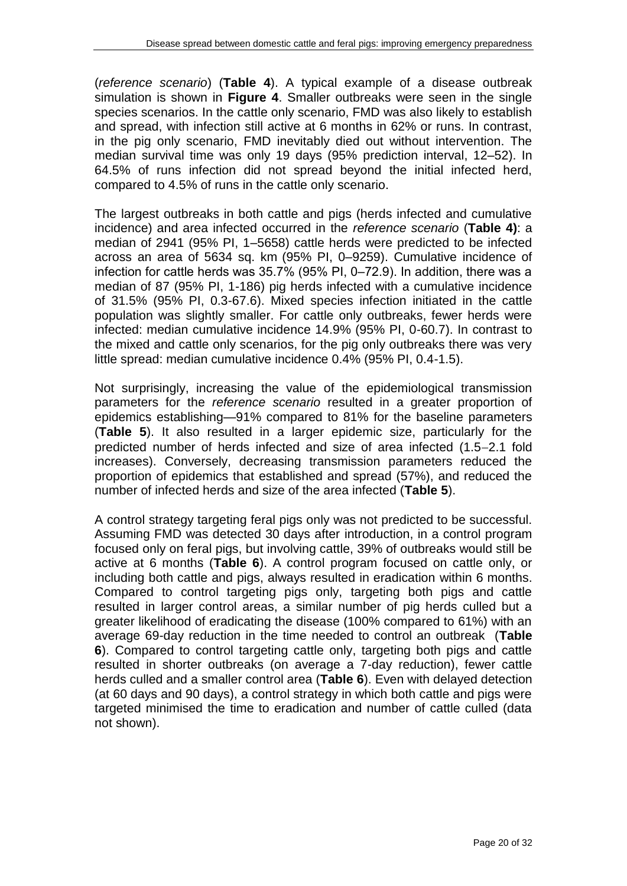(*reference scenario*) (**Table 4**). A typical example of a disease outbreak simulation is shown in **Figure 4**. Smaller outbreaks were seen in the single species scenarios. In the cattle only scenario, FMD was also likely to establish and spread, with infection still active at 6 months in 62% or runs. In contrast, in the pig only scenario, FMD inevitably died out without intervention. The median survival time was only 19 days (95% prediction interval, 12–52). In 64.5% of runs infection did not spread beyond the initial infected herd, compared to 4.5% of runs in the cattle only scenario.

The largest outbreaks in both cattle and pigs (herds infected and cumulative incidence) and area infected occurred in the *reference scenario* (**Table 4)**: a median of 2941 (95% PI, 1–5658) cattle herds were predicted to be infected across an area of 5634 sq. km (95% PI, 0–9259). Cumulative incidence of infection for cattle herds was 35.7% (95% PI, 0-72.9). In addition, there was a median of 87 (95% PI, 1-186) pig herds infected with a cumulative incidence of 31.5% (95% PI, 0.3-67.6). Mixed species infection initiated in the cattle population was slightly smaller. For cattle only outbreaks, fewer herds were infected: median cumulative incidence 14.9% (95% PI, 0-60.7). In contrast to the mixed and cattle only scenarios, for the pig only outbreaks there was very little spread: median cumulative incidence 0.4% (95% PI, 0.4-1.5).

Not surprisingly, increasing the value of the epidemiological transmission parameters for the *reference scenario* resulted in a greater proportion of epidemics establishing—91% compared to 81% for the baseline parameters (**Table 5**). It also resulted in a larger epidemic size, particularly for the predicted number of herds infected and size of area infected (1.5-2.1 fold increases). Conversely, decreasing transmission parameters reduced the proportion of epidemics that established and spread (57%), and reduced the number of infected herds and size of the area infected (**Table 5**).

A control strategy targeting feral pigs only was not predicted to be successful. Assuming FMD was detected 30 days after introduction, in a control program focused only on feral pigs, but involving cattle, 39% of outbreaks would still be active at 6 months (**Table 6**). A control program focused on cattle only, or including both cattle and pigs, always resulted in eradication within 6 months. Compared to control targeting pigs only, targeting both pigs and cattle resulted in larger control areas, a similar number of pig herds culled but a greater likelihood of eradicating the disease (100% compared to 61%) with an average 69-day reduction in the time needed to control an outbreak (**Table 6**). Compared to control targeting cattle only, targeting both pigs and cattle resulted in shorter outbreaks (on average a 7-day reduction), fewer cattle herds culled and a smaller control area (**Table 6**). Even with delayed detection (at 60 days and 90 days), a control strategy in which both cattle and pigs were targeted minimised the time to eradication and number of cattle culled (data not shown).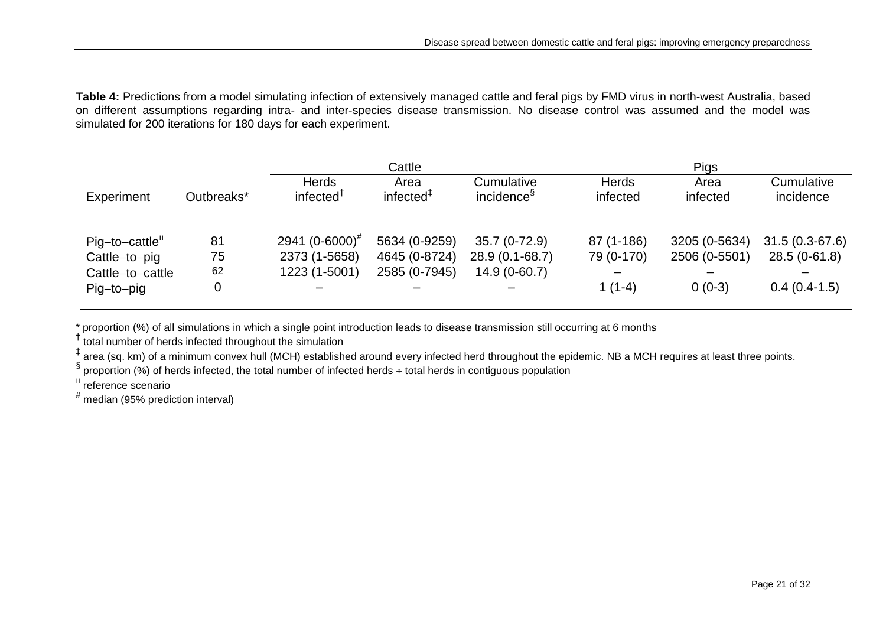**Table 4:** Predictions from a model simulating infection of extensively managed cattle and feral pigs by FMD virus in north-west Australia, based on different assumptions regarding intra- and inter-species disease transmission. No disease control was assumed and the model was simulated for 200 iterations for 180 days for each experiment.

|                  |            | Cattle                                |                      |                                      | <b>Pigs</b>              |                  |                         |  |
|------------------|------------|---------------------------------------|----------------------|--------------------------------------|--------------------------|------------------|-------------------------|--|
| Experiment       | Outbreaks* | <b>Herds</b><br>infected <sup>T</sup> | Area<br>infected $‡$ | Cumulative<br>incidence <sup>§</sup> | <b>Herds</b><br>infected | Area<br>infected | Cumulative<br>incidence |  |
| Pig-to-cattle"   | 81         | 2941 $(0-6000)^{\#}$                  | 5634 (0-9259)        | 35.7 (0-72.9)                        | 87 (1-186)               | 3205 (0-5634)    | $31.5(0.3-67.6)$        |  |
| Cattle-to-pig    | 75         | 2373 (1-5658)                         | 4645 (0-8724)        | 28.9 (0.1-68.7)                      | 79 (0-170)               | 2506 (0-5501)    | $28.5(0-61.8)$          |  |
| Cattle-to-cattle | 62         | 1223 (1-5001)                         | 2585 (0-7945)        | $14.9(0-60.7)$                       |                          |                  |                         |  |
| Pig-to-pig       |            |                                       |                      |                                      | $1(1-4)$                 | $0(0-3)$         | $0.4(0.4-1.5)$          |  |

\* proportion (%) of all simulations in which a single point introduction leads to disease transmission still occurring at 6 months

† total number of herds infected throughout the simulation

‡ area (sq. km) of a minimum convex hull (MCH) established around every infected herd throughout the epidemic. NB a MCH requires at least three points.

 $\S$  proportion (%) of herds infected, the total number of infected herds ÷ total herds in contiguous population

ıı reference scenario

# median (95% prediction interval)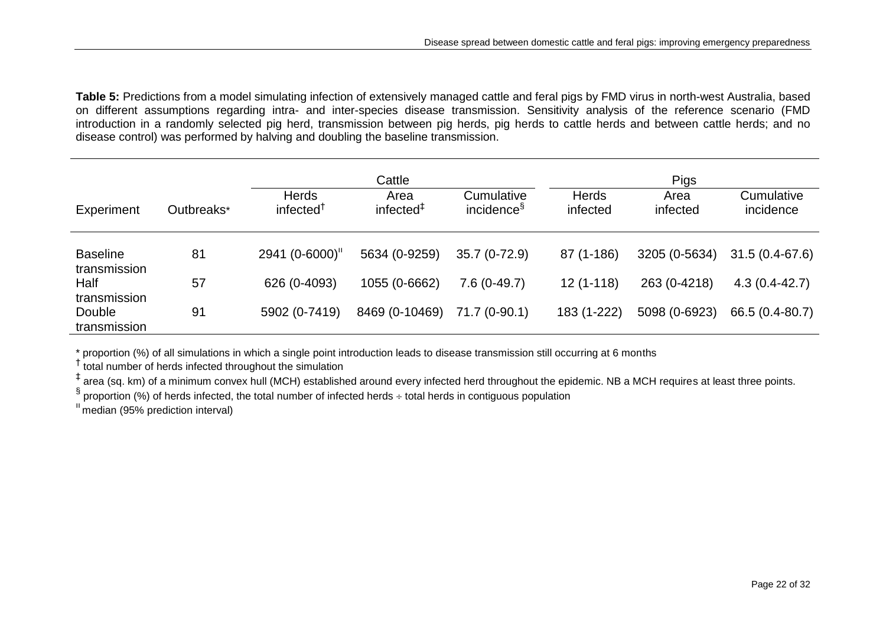**Table 5:** Predictions from a model simulating infection of extensively managed cattle and feral pigs by FMD virus in north-west Australia, based on different assumptions regarding intra- and inter-species disease transmission. Sensitivity analysis of the reference scenario (FMD introduction in a randomly selected pig herd, transmission between pig herds, pig herds to cattle herds and between cattle herds; and no disease control) was performed by halving and doubling the baseline transmission.

|                                 |            | Cattle                                |                      |                                      | <b>Pigs</b>              |                  |                         |  |
|---------------------------------|------------|---------------------------------------|----------------------|--------------------------------------|--------------------------|------------------|-------------------------|--|
| Experiment                      | Outbreaks* | <b>Herds</b><br>infected <sup>1</sup> | Area<br>infected $†$ | Cumulative<br>incidence <sup>§</sup> | <b>Herds</b><br>infected | Area<br>infected | Cumulative<br>incidence |  |
| <b>Baseline</b><br>transmission | 81         | $2941 (0 - 6000)$ "                   | 5634 (0-9259)        | $35.7(0-72.9)$                       | 87 (1-186)               | 3205 (0-5634)    | 31.5 (0.4-67.6)         |  |
| Half<br>transmission            | 57         | 626 (0-4093)                          | 1055 (0-6662)        | $7.6(0-49.7)$                        | $12(1-118)$              | 263 (0-4218)     | $4.3(0.4 - 42.7)$       |  |
| Double<br>transmission          | 91         | 5902 (0-7419)                         | 8469 (0-10469)       | 71.7 (0-90.1)                        | 183 (1-222)              | 5098 (0-6923)    | 66.5 (0.4-80.7)         |  |

\* proportion (%) of all simulations in which a single point introduction leads to disease transmission still occurring at 6 months

† total number of herds infected throughout the simulation

‡ area (sq. km) of a minimum convex hull (MCH) established around every infected herd throughout the epidemic. NB a MCH requires at least three points.

§ proportion (%) of herds infected, the total number of infected herds ÷ total herds in contiguous population

 $<sup>1</sup>$  median (95% prediction interval)</sup>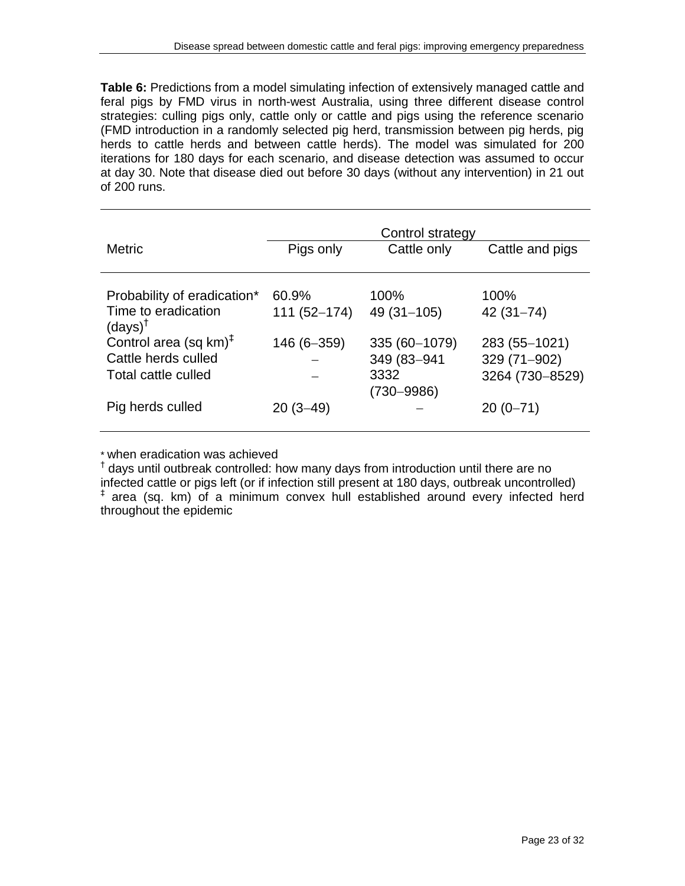**Table 6:** Predictions from a model simulating infection of extensively managed cattle and feral pigs by FMD virus in north-west Australia, using three different disease control strategies: culling pigs only, cattle only or cattle and pigs using the reference scenario (FMD introduction in a randomly selected pig herd, transmission between pig herds, pig herds to cattle herds and between cattle herds). The model was simulated for 200 iterations for 180 days for each scenario, and disease detection was assumed to occur at day 30. Note that disease died out before 30 days (without any intervention) in 21 out of 200 runs.

|                                                          | Control strategy |                        |                 |  |  |
|----------------------------------------------------------|------------------|------------------------|-----------------|--|--|
| <b>Metric</b>                                            | Pigs only        | Cattle only            | Cattle and pigs |  |  |
|                                                          |                  |                        |                 |  |  |
| Probability of eradication*                              | 60.9%            | 100%                   | 100%            |  |  |
| Time to eradication<br>$(days)^{\dagger}$                | $111(52 - 174)$  | $49(31 - 105)$         | $42(31 - 74)$   |  |  |
| Control area (sq $km$ ) <sup><math>\ddagger</math></sup> | 146 (6-359)      | 335 (60-1079)          | 283 (55-1021)   |  |  |
| Cattle herds culled                                      |                  | 349 (83-941            | 329 (71-902)    |  |  |
| Total cattle culled                                      |                  | 3332<br>$(730 - 9986)$ | 3264 (730-8529) |  |  |
| Pig herds culled                                         | $20(3-49)$       |                        | $20(0-71)$      |  |  |

\* when eradication was achieved

<sup>†</sup> days until outbreak controlled: how many days from introduction until there are no infected cattle or pigs left (or if infection still present at 180 days, outbreak uncontrolled) ‡ area (sq. km) of a minimum convex hull established around every infected herd throughout the epidemic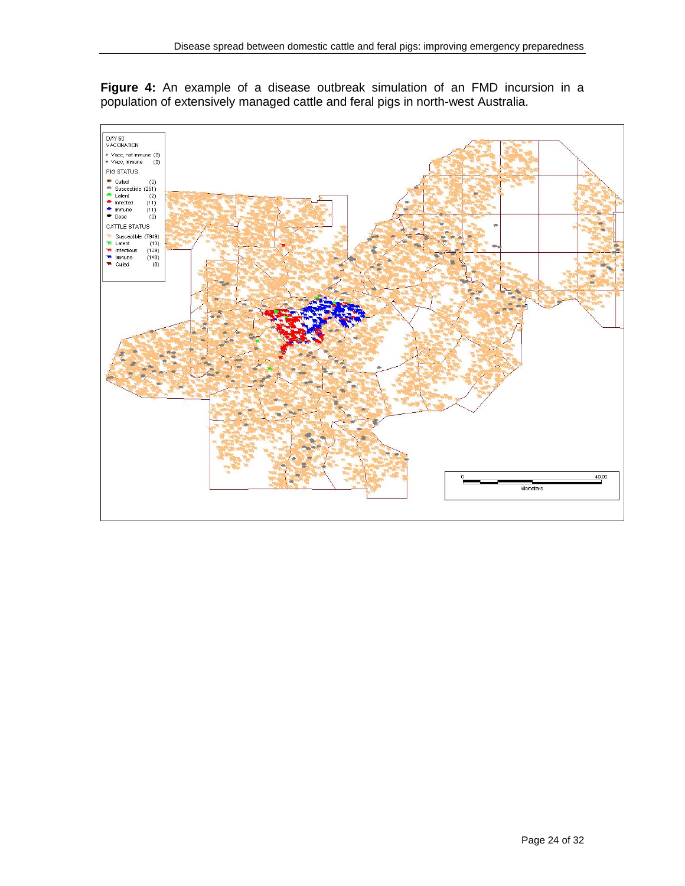

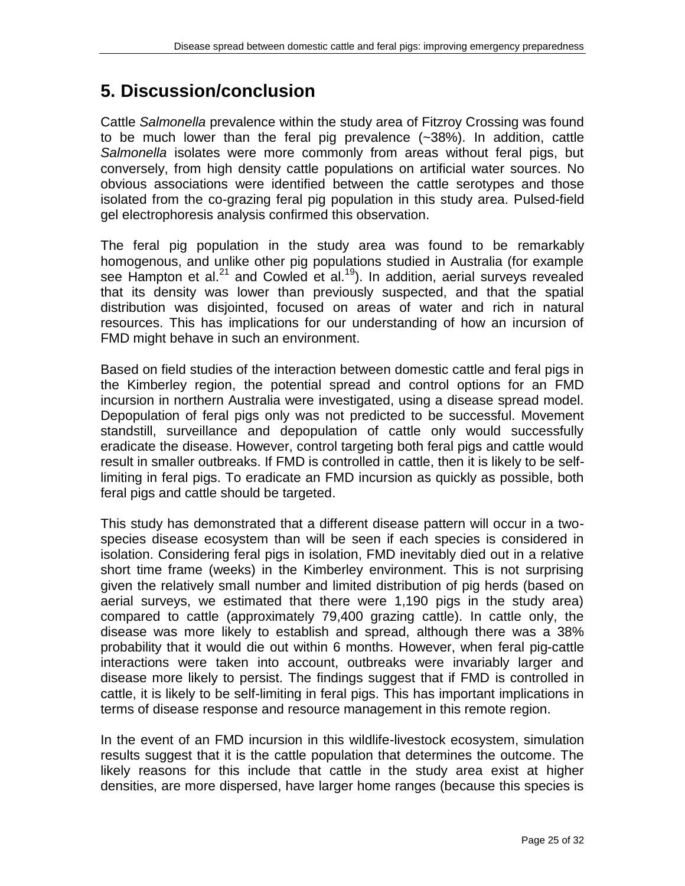# **5. Discussion/conclusion**

Cattle *Salmonella* prevalence within the study area of Fitzroy Crossing was found to be much lower than the feral pig prevalence (~38%). In addition, cattle *Salmonella* isolates were more commonly from areas without feral pigs, but conversely, from high density cattle populations on artificial water sources. No obvious associations were identified between the cattle serotypes and those isolated from the co-grazing feral pig population in this study area. Pulsed-field gel electrophoresis analysis confirmed this observation.

The feral pig population in the study area was found to be remarkably homogenous, and unlike other pig populations studied in Australia (for example see Hampton et al.<sup>21</sup> and Cowled et al.<sup>19</sup>). In addition, aerial surveys revealed that its density was lower than previously suspected, and that the spatial distribution was disjointed, focused on areas of water and rich in natural resources. This has implications for our understanding of how an incursion of FMD might behave in such an environment.

Based on field studies of the interaction between domestic cattle and feral pigs in the Kimberley region, the potential spread and control options for an FMD incursion in northern Australia were investigated, using a disease spread model. Depopulation of feral pigs only was not predicted to be successful. Movement standstill, surveillance and depopulation of cattle only would successfully eradicate the disease. However, control targeting both feral pigs and cattle would result in smaller outbreaks. If FMD is controlled in cattle, then it is likely to be selflimiting in feral pigs. To eradicate an FMD incursion as quickly as possible, both feral pigs and cattle should be targeted.

This study has demonstrated that a different disease pattern will occur in a twospecies disease ecosystem than will be seen if each species is considered in isolation. Considering feral pigs in isolation, FMD inevitably died out in a relative short time frame (weeks) in the Kimberley environment. This is not surprising given the relatively small number and limited distribution of pig herds (based on aerial surveys, we estimated that there were 1,190 pigs in the study area) compared to cattle (approximately 79,400 grazing cattle). In cattle only, the disease was more likely to establish and spread, although there was a 38% probability that it would die out within 6 months. However, when feral pig-cattle interactions were taken into account, outbreaks were invariably larger and disease more likely to persist. The findings suggest that if FMD is controlled in cattle, it is likely to be self-limiting in feral pigs. This has important implications in terms of disease response and resource management in this remote region.

In the event of an FMD incursion in this wildlife-livestock ecosystem, simulation results suggest that it is the cattle population that determines the outcome. The likely reasons for this include that cattle in the study area exist at higher densities, are more dispersed, have larger home ranges (because this species is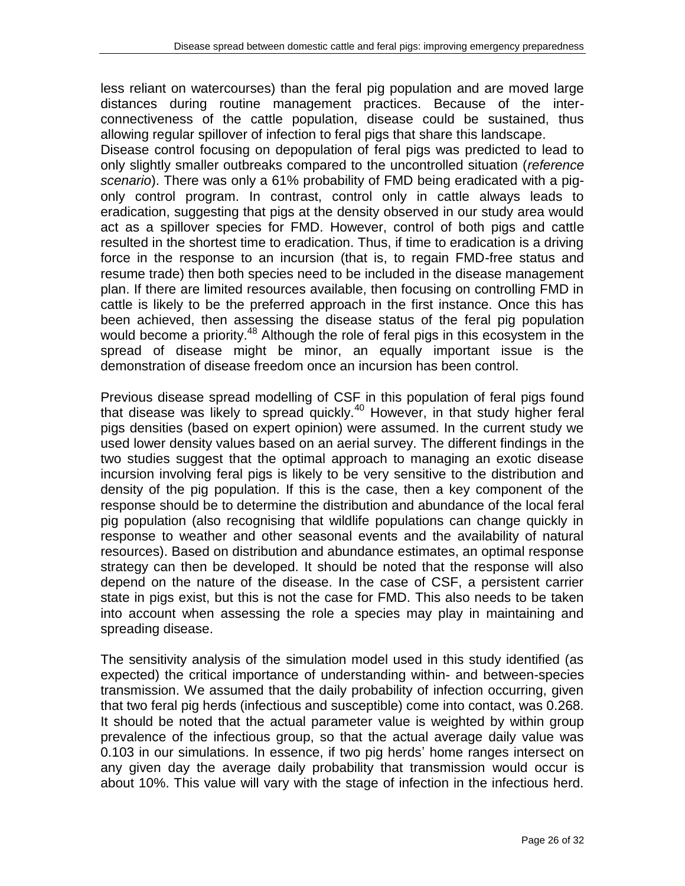less reliant on watercourses) than the feral pig population and are moved large distances during routine management practices. Because of the interconnectiveness of the cattle population, disease could be sustained, thus allowing regular spillover of infection to feral pigs that share this landscape.

Disease control focusing on depopulation of feral pigs was predicted to lead to only slightly smaller outbreaks compared to the uncontrolled situation (*reference scenario*). There was only a 61% probability of FMD being eradicated with a pigonly control program. In contrast, control only in cattle always leads to eradication, suggesting that pigs at the density observed in our study area would act as a spillover species for FMD. However, control of both pigs and cattle resulted in the shortest time to eradication. Thus, if time to eradication is a driving force in the response to an incursion (that is, to regain FMD-free status and resume trade) then both species need to be included in the disease management plan. If there are limited resources available, then focusing on controlling FMD in cattle is likely to be the preferred approach in the first instance. Once this has been achieved, then assessing the disease status of the feral pig population would become a priority.<sup>48</sup> Although the role of feral pigs in this ecosystem in the spread of disease might be minor, an equally important issue is the demonstration of disease freedom once an incursion has been control.

Previous disease spread modelling of CSF in this population of feral pigs found that disease was likely to spread quickly.<sup>40</sup> However, in that study higher feral pigs densities (based on expert opinion) were assumed. In the current study we used lower density values based on an aerial survey. The different findings in the two studies suggest that the optimal approach to managing an exotic disease incursion involving feral pigs is likely to be very sensitive to the distribution and density of the pig population. If this is the case, then a key component of the response should be to determine the distribution and abundance of the local feral pig population (also recognising that wildlife populations can change quickly in response to weather and other seasonal events and the availability of natural resources). Based on distribution and abundance estimates, an optimal response strategy can then be developed. It should be noted that the response will also depend on the nature of the disease. In the case of CSF, a persistent carrier state in pigs exist, but this is not the case for FMD. This also needs to be taken into account when assessing the role a species may play in maintaining and spreading disease.

The sensitivity analysis of the simulation model used in this study identified (as expected) the critical importance of understanding within- and between-species transmission. We assumed that the daily probability of infection occurring, given that two feral pig herds (infectious and susceptible) come into contact, was 0.268. It should be noted that the actual parameter value is weighted by within group prevalence of the infectious group, so that the actual average daily value was 0.103 in our simulations. In essence, if two pig herds' home ranges intersect on any given day the average daily probability that transmission would occur is about 10%. This value will vary with the stage of infection in the infectious herd.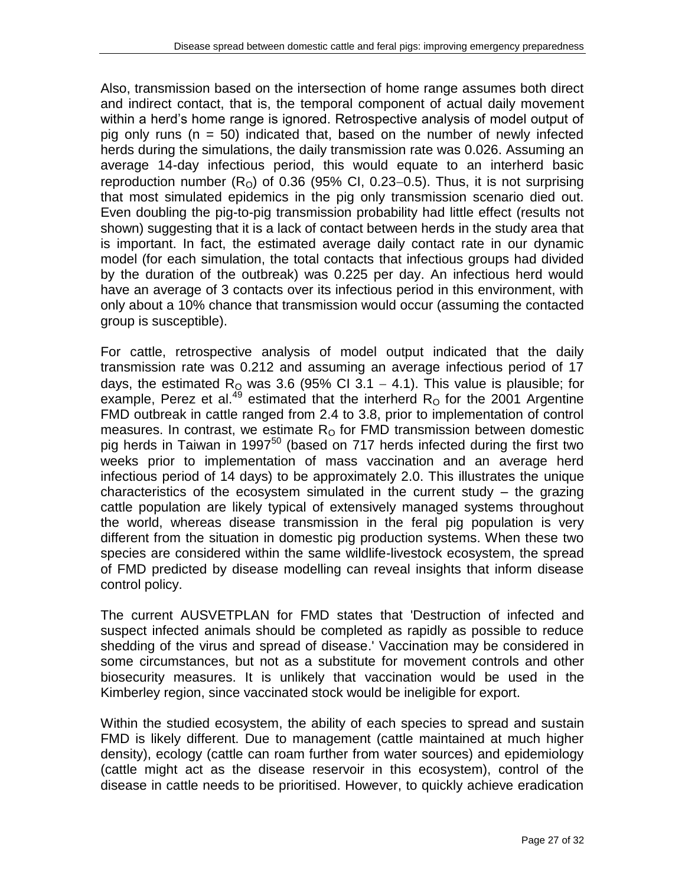Also, transmission based on the intersection of home range assumes both direct and indirect contact, that is, the temporal component of actual daily movement within a herd's home range is ignored. Retrospective analysis of model output of pig only runs ( $n = 50$ ) indicated that, based on the number of newly infected herds during the simulations, the daily transmission rate was 0.026. Assuming an average 14-day infectious period, this would equate to an interherd basic reproduction number  $(R<sub>0</sub>)$  of 0.36 (95% CI, 0.23–0.5). Thus, it is not surprising that most simulated epidemics in the pig only transmission scenario died out. Even doubling the pig-to-pig transmission probability had little effect (results not shown) suggesting that it is a lack of contact between herds in the study area that is important. In fact, the estimated average daily contact rate in our dynamic model (for each simulation, the total contacts that infectious groups had divided by the duration of the outbreak) was 0.225 per day. An infectious herd would have an average of 3 contacts over its infectious period in this environment, with only about a 10% chance that transmission would occur (assuming the contacted group is susceptible).

For cattle, retrospective analysis of model output indicated that the daily transmission rate was 0.212 and assuming an average infectious period of 17 days, the estimated  $R_{\text{Q}}$  was 3.6 (95% CI 3.1 - 4.1). This value is plausible; for example, Perez et al.<sup>49</sup> estimated that the interherd  $R<sub>o</sub>$  for the 2001 Argentine FMD outbreak in cattle ranged from 2.4 to 3.8, prior to implementation of control measures. In contrast, we estimate  $R<sub>O</sub>$  for FMD transmission between domestic pig herds in Taiwan in 1997 $^{50}$  (based on 717 herds infected during the first two weeks prior to implementation of mass vaccination and an average herd infectious period of 14 days) to be approximately 2.0. This illustrates the unique characteristics of the ecosystem simulated in the current study – the grazing cattle population are likely typical of extensively managed systems throughout the world, whereas disease transmission in the feral pig population is very different from the situation in domestic pig production systems. When these two species are considered within the same wildlife-livestock ecosystem, the spread of FMD predicted by disease modelling can reveal insights that inform disease control policy.

The current AUSVETPLAN for FMD states that 'Destruction of infected and suspect infected animals should be completed as rapidly as possible to reduce shedding of the virus and spread of disease.' Vaccination may be considered in some circumstances, but not as a substitute for movement controls and other biosecurity measures. It is unlikely that vaccination would be used in the Kimberley region, since vaccinated stock would be ineligible for export.

Within the studied ecosystem, the ability of each species to spread and sustain FMD is likely different. Due to management (cattle maintained at much higher density), ecology (cattle can roam further from water sources) and epidemiology (cattle might act as the disease reservoir in this ecosystem), control of the disease in cattle needs to be prioritised. However, to quickly achieve eradication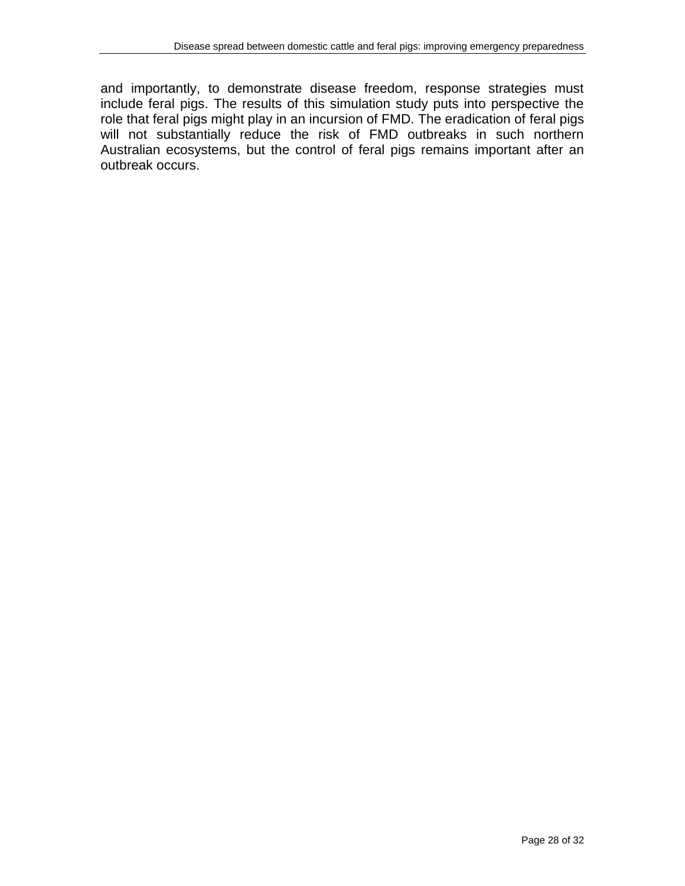and importantly, to demonstrate disease freedom, response strategies must include feral pigs. The results of this simulation study puts into perspective the role that feral pigs might play in an incursion of FMD. The eradication of feral pigs will not substantially reduce the risk of FMD outbreaks in such northern Australian ecosystems, but the control of feral pigs remains important after an outbreak occurs.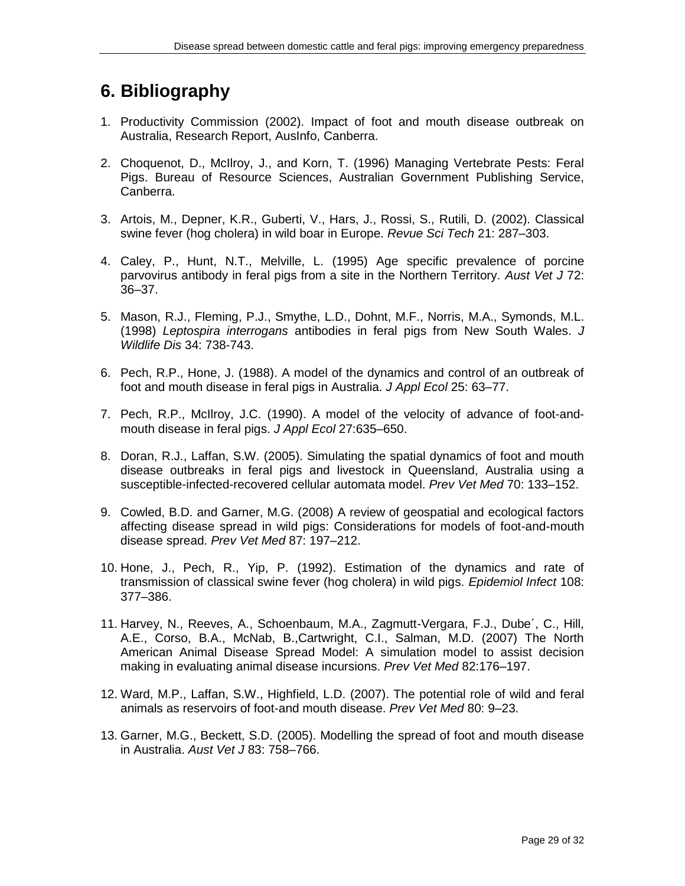## **6. Bibliography**

- 1. Productivity Commission (2002). Impact of foot and mouth disease outbreak on Australia, Research Report, AusInfo, Canberra.
- 2. Choquenot, D., McIlroy, J., and Korn, T. (1996) Managing Vertebrate Pests: Feral Pigs. Bureau of Resource Sciences, Australian Government Publishing Service, Canberra.
- 3. Artois, M., Depner, K.R., Guberti, V., Hars, J., Rossi, S., Rutili, D. (2002). Classical swine fever (hog cholera) in wild boar in Europe. *Revue Sci Tech* 21: 287–303.
- 4. Caley, P., Hunt, N.T., Melville, L. (1995) Age specific prevalence of porcine parvovirus antibody in feral pigs from a site in the Northern Territory. *Aust Vet J* 72: 36–37.
- 5. Mason, R.J., Fleming, P.J., Smythe, L.D., Dohnt, M.F., Norris, M.A., Symonds, M.L. (1998) *Leptospira interrogans* antibodies in feral pigs from New South Wales. *J Wildlife Dis* 34: 738-743.
- 6. Pech, R.P., Hone, J. (1988). A model of the dynamics and control of an outbreak of foot and mouth disease in feral pigs in Australia. *J Appl Ecol* 25: 63–77.
- 7. Pech, R.P., McIlroy, J.C. (1990). A model of the velocity of advance of foot-andmouth disease in feral pigs. *J Appl Ecol* 27:635–650.
- 8. Doran, R.J., Laffan, S.W. (2005). Simulating the spatial dynamics of foot and mouth disease outbreaks in feral pigs and livestock in Queensland, Australia using a susceptible-infected-recovered cellular automata model. *Prev Vet Med* 70: 133–152.
- 9. Cowled, B.D. and Garner, M.G. (2008) A review of geospatial and ecological factors affecting disease spread in wild pigs: Considerations for models of foot-and-mouth disease spread. *Prev Vet Med* 87: 197–212.
- 10. Hone, J., Pech, R., Yip, P. (1992). Estimation of the dynamics and rate of transmission of classical swine fever (hog cholera) in wild pigs. *Epidemiol Infect* 108: 377–386.
- 11. Harvey, N., Reeves, A., Schoenbaum, M.A., Zagmutt-Vergara, F.J., Dube´, C., Hill, A.E., Corso, B.A., McNab, B.,Cartwright, C.I., Salman, M.D. (2007) The North American Animal Disease Spread Model: A simulation model to assist decision making in evaluating animal disease incursions. *Prev Vet Med* 82:176–197.
- 12. Ward, M.P., Laffan, S.W., Highfield, L.D. (2007). The potential role of wild and feral animals as reservoirs of foot-and mouth disease. *Prev Vet Med* 80: 9–23.
- 13. Garner, M.G., Beckett, S.D. (2005). Modelling the spread of foot and mouth disease in Australia. *Aust Vet J* 83: 758–766.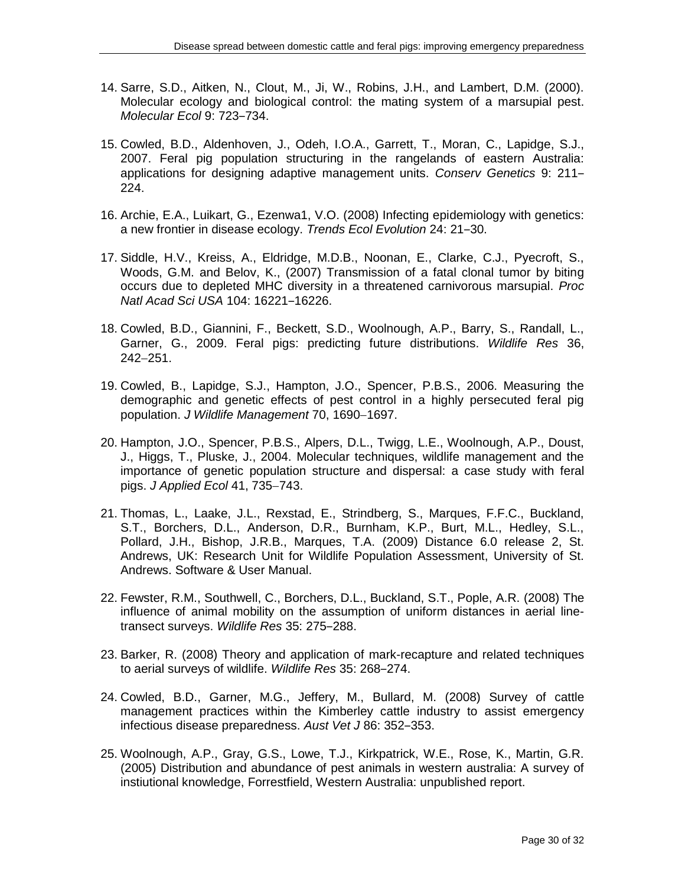- 14. Sarre, S.D., Aitken, N., Clout, M., Ji, W., Robins, J.H., and Lambert, D.M. (2000). Molecular ecology and biological control: the mating system of a marsupial pest. *Molecular Ecol* 9: 723‒734.
- 15. Cowled, B.D., Aldenhoven, J., Odeh, I.O.A., Garrett, T., Moran, C., Lapidge, S.J., 2007. Feral pig population structuring in the rangelands of eastern Australia: applications for designing adaptive management units. Conserv Genetics 9: 211-224.
- 16. Archie, E.A., Luikart, G., Ezenwa1, V.O. (2008) Infecting epidemiology with genetics: a new frontier in disease ecology. *Trends Ecol Evolution* 24: 21‒30.
- 17. Siddle, H.V., Kreiss, A., Eldridge, M.D.B., Noonan, E., Clarke, C.J., Pyecroft, S., Woods, G.M. and Belov, K., (2007) Transmission of a fatal clonal tumor by biting occurs due to depleted MHC diversity in a threatened carnivorous marsupial. *Proc Natl Acad Sci USA* 104: 16221-16226.
- 18. Cowled, B.D., Giannini, F., Beckett, S.D., Woolnough, A.P., Barry, S., Randall, L., Garner, G., 2009. Feral pigs: predicting future distributions. *Wildlife Res* 36,  $242 - 251$ .
- 19. Cowled, B., Lapidge, S.J., Hampton, J.O., Spencer, P.B.S., 2006. Measuring the demographic and genetic effects of pest control in a highly persecuted feral pig population. *J Wildlife Management* 70, 1690-1697.
- 20. Hampton, J.O., Spencer, P.B.S., Alpers, D.L., Twigg, L.E., Woolnough, A.P., Doust, J., Higgs, T., Pluske, J., 2004. Molecular techniques, wildlife management and the importance of genetic population structure and dispersal: a case study with feral pigs. *J Applied Ecol* 41, 735-743.
- 21. Thomas, L., Laake, J.L., Rexstad, E., Strindberg, S., Marques, F.F.C., Buckland, S.T., Borchers, D.L., Anderson, D.R., Burnham, K.P., Burt, M.L., Hedley, S.L., Pollard, J.H., Bishop, J.R.B., Marques, T.A. (2009) Distance 6.0 release 2, St. Andrews, UK: Research Unit for Wildlife Population Assessment, University of St. Andrews. Software & User Manual.
- 22. Fewster, R.M., Southwell, C., Borchers, D.L., Buckland, S.T., Pople, A.R. (2008) The influence of animal mobility on the assumption of uniform distances in aerial linetransect surveys. *Wildlife Res* 35: 275-288.
- 23. Barker, R. (2008) Theory and application of mark-recapture and related techniques to aerial surveys of wildlife. Wildlife Res 35: 268-274.
- 24. Cowled, B.D., Garner, M.G., Jeffery, M., Bullard, M. (2008) Survey of cattle management practices within the Kimberley cattle industry to assist emergency infectious disease preparedness. Aust Vet J 86: 352-353.
- 25. Woolnough, A.P., Gray, G.S., Lowe, T.J., Kirkpatrick, W.E., Rose, K., Martin, G.R. (2005) Distribution and abundance of pest animals in western australia: A survey of instiutional knowledge, Forrestfield, Western Australia: unpublished report.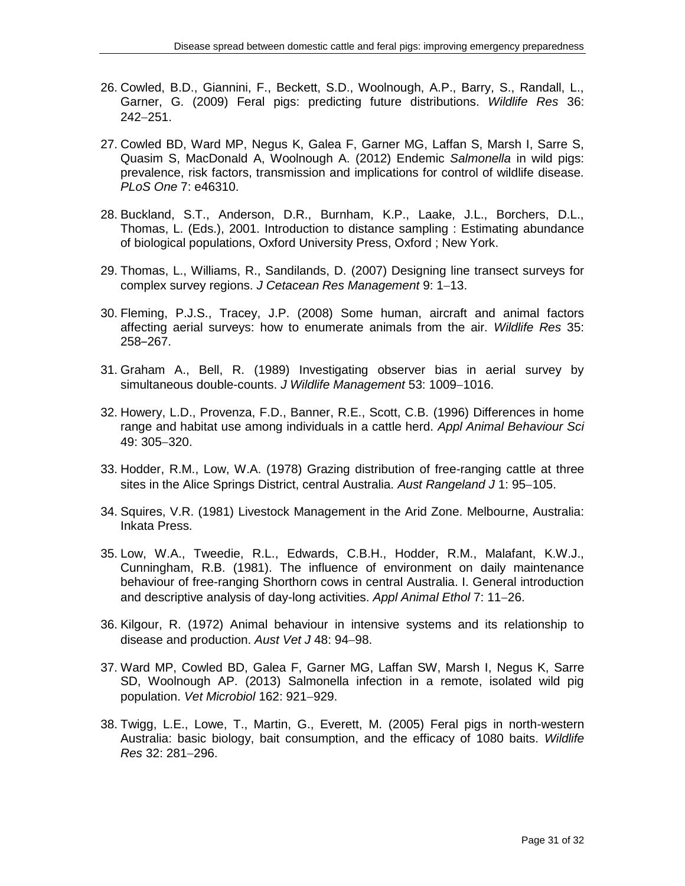- 26. Cowled, B.D., Giannini, F., Beckett, S.D., Woolnough, A.P., Barry, S., Randall, L., Garner, G. (2009) Feral pigs: predicting future distributions. *Wildlife Res* 36:  $242 - 251$ .
- 27. Cowled BD, Ward MP, Negus K, Galea F, Garner MG, Laffan S, Marsh I, Sarre S, Quasim S, MacDonald A, Woolnough A. (2012) Endemic *Salmonella* in wild pigs: prevalence, risk factors, transmission and implications for control of wildlife disease. *PLoS One* 7: e46310.
- 28. Buckland, S.T., Anderson, D.R., Burnham, K.P., Laake, J.L., Borchers, D.L., Thomas, L. (Eds.), 2001. Introduction to distance sampling : Estimating abundance of biological populations, Oxford University Press, Oxford ; New York.
- 29. Thomas, L., Williams, R., Sandilands, D. (2007) Designing line transect surveys for complex survey regions. *J Cetacean Res Management* 9: 1-13.
- 30. Fleming, P.J.S., Tracey, J.P. (2008) Some human, aircraft and animal factors affecting aerial surveys: how to enumerate animals from the air. *Wildlife Res* 35: 258‒267.
- 31. Graham A., Bell, R. (1989) Investigating observer bias in aerial survey by simultaneous double-counts. *J Wildlife Management* 53: 1009-1016.
- 32. Howery, L.D., Provenza, F.D., Banner, R.E., Scott, C.B. (1996) Differences in home range and habitat use among individuals in a cattle herd. *Appl Animal Behaviour Sci* 49: 305-320.
- 33. Hodder, R.M., Low, W.A. (1978) Grazing distribution of free-ranging cattle at three sites in the Alice Springs District, central Australia. Aust Rangeland J 1: 95-105.
- 34. Squires, V.R. (1981) Livestock Management in the Arid Zone. Melbourne, Australia: Inkata Press.
- 35. Low, W.A., Tweedie, R.L., Edwards, C.B.H., Hodder, R.M., Malafant, K.W.J., Cunningham, R.B. (1981). The influence of environment on daily maintenance behaviour of free-ranging Shorthorn cows in central Australia. I. General introduction and descriptive analysis of day-long activities. Appl Animal Ethol 7: 11-26.
- 36. Kilgour, R. (1972) Animal behaviour in intensive systems and its relationship to disease and production. Aust Vet J 48: 94-98.
- 37. Ward MP, Cowled BD, Galea F, Garner MG, Laffan SW, Marsh I, Negus K, Sarre SD, Woolnough AP. (2013) Salmonella infection in a remote, isolated wild pig population. *Vet Microbiol* 162: 921-929.
- 38. Twigg, L.E., Lowe, T., Martin, G., Everett, M. (2005) Feral pigs in north-western Australia: basic biology, bait consumption, and the efficacy of 1080 baits. *Wildlife Res* 32: 281-296.